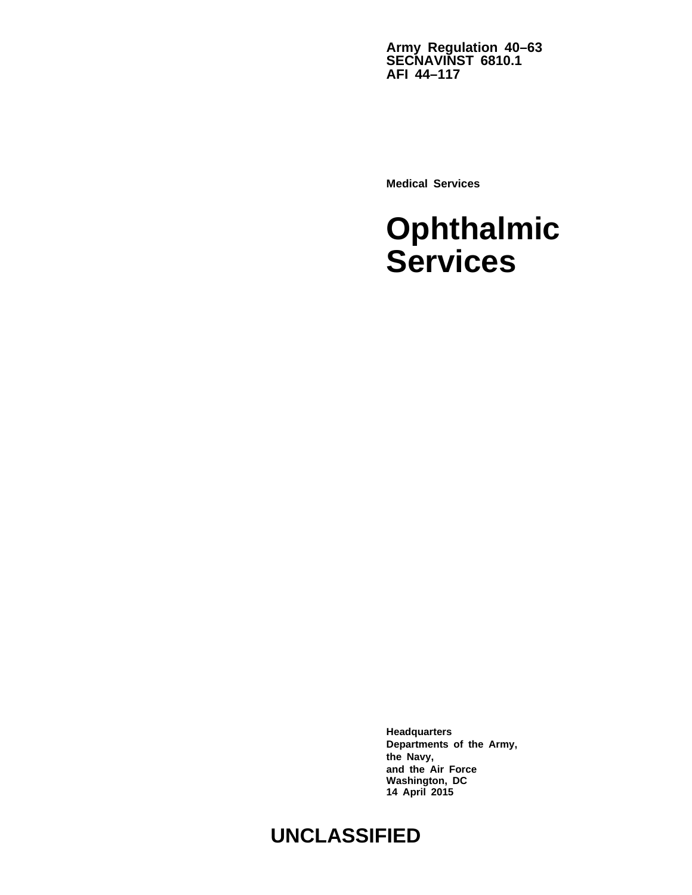**Army Regulation 40–63 SECNAVINST 6810.1 AFI 44–117**

**Medical Services**

# **Ophthalmic Services**

**Headquarters Departments of the Army, the Navy, and the Air Force Washington, DC 14 April 2015**

# **UNCLASSIFIED**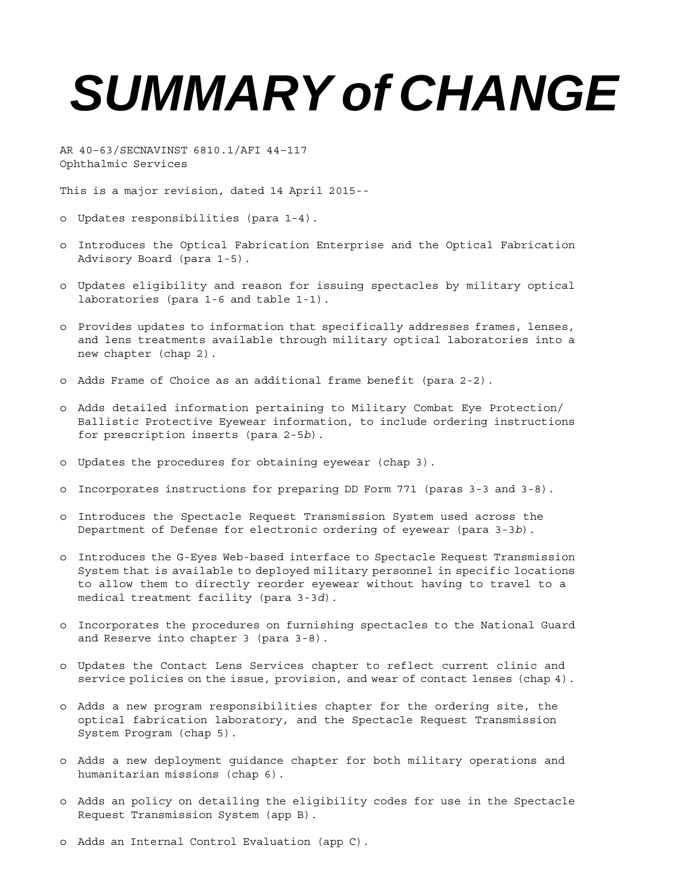# *SUMMARY of CHANGE*

AR 40–63/SECNAVINST 6810.1/AFI 44–117 Ophthalmic Services

This is a major revision, dated 14 April 2015--

- o Updates responsibilities (para 1-4).
- o Introduces the Optical Fabrication Enterprise and the Optical Fabrication Advisory Board (para 1-5).
- o Updates eligibility and reason for issuing spectacles by military optical laboratories (para 1-6 and table 1-1).
- o Provides updates to information that specifically addresses frames, lenses, and lens treatments available through military optical laboratories into a new chapter (chap 2).
- o Adds Frame of Choice as an additional frame benefit (para 2-2).
- o Adds detailed information pertaining to Military Combat Eye Protection/ Ballistic Protective Eyewear information, to include ordering instructions for prescription inserts (para 2-5*b*).
- o Updates the procedures for obtaining eyewear (chap 3).
- o Incorporates instructions for preparing DD Form 771 (paras 3-3 and 3-8).
- o Introduces the Spectacle Request Transmission System used across the Department of Defense for electronic ordering of eyewear (para 3-3*b*).
- o Introduces the G-Eyes Web-based interface to Spectacle Request Transmission System that is available to deployed military personnel in specific locations to allow them to directly reorder eyewear without having to travel to a medical treatment facility (para 3-3*d*).
- o Incorporates the procedures on furnishing spectacles to the National Guard and Reserve into chapter 3 (para 3-8).
- o Updates the Contact Lens Services chapter to reflect current clinic and service policies on the issue, provision, and wear of contact lenses (chap 4).
- o Adds a new program responsibilities chapter for the ordering site, the optical fabrication laboratory, and the Spectacle Request Transmission System Program (chap 5).
- o Adds a new deployment guidance chapter for both military operations and humanitarian missions (chap 6).
- o Adds an policy on detailing the eligibility codes for use in the Spectacle Request Transmission System (app B).
- o Adds an Internal Control Evaluation (app C).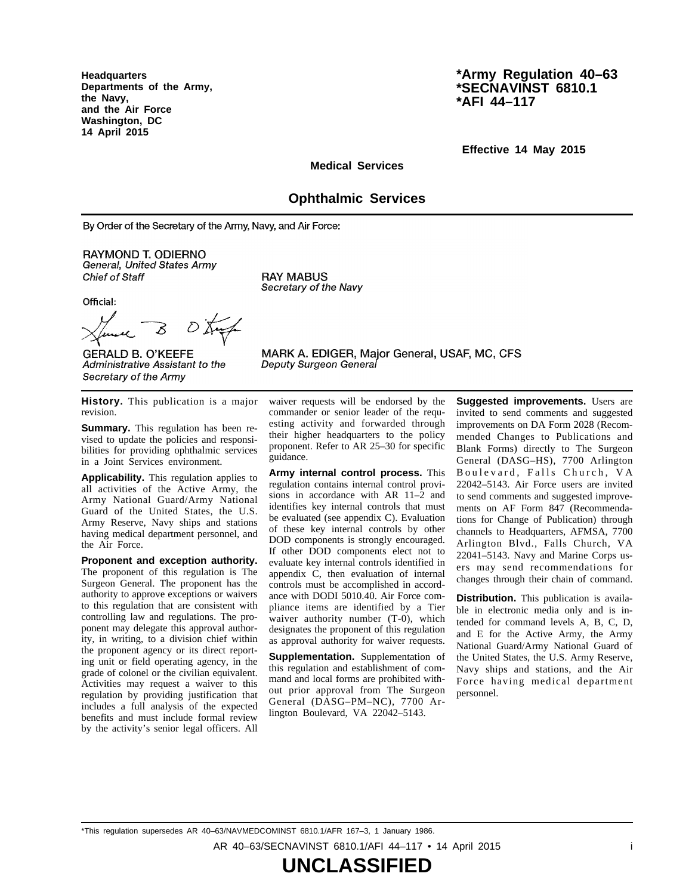**Headquarters Departments of the Army, the Navy, and the Air Force Washington, DC 14 April 2015**

# **\*Army Regulation 40–63 \*SECNAVINST 6810.1 \*AFI 44–117**

**Effective 14 May 2015**

**Medical Services**

# **Ophthalmic Services**

By Order of the Secretary of the Army, Navy, and Air Force:

**RAYMOND T. ODIERNO** General, United States Army Chief of Staff

Official:

**RAY MABUS** Secretary of the Navy

Deputy Surgeon General

 $0\,\mathrm{K}$ 8

**GERALD B. O'KEEFE** Administrative Assistant to the Secretary of the Army

waiver requests will be endorsed by the

MARK A. EDIGER, Major General, USAF, MC, CFS

**History.** This publication is a major revision.

**Summary.** This regulation has been revised to update the policies and responsibilities for providing ophthalmic services in a Joint Services environment.

**Applicability.** This regulation applies to all activities of the Active Army, the Army National Guard/Army National Guard of the United States, the U.S. Army Reserve, Navy ships and stations having medical department personnel, and the Air Force.

**Proponent and exception authority.** The proponent of this regulation is The Surgeon General. The proponent has the authority to approve exceptions or waivers to this regulation that are consistent with controlling law and regulations. The proponent may delegate this approval authority, in writing, to a division chief within the proponent agency or its direct reporting unit or field operating agency, in the grade of colonel or the civilian equivalent. Activities may request a waiver to this regulation by providing justification that includes a full analysis of the expected benefits and must include formal review by the activity's senior legal officers. All

commander or senior leader of the requesting activity and forwarded through their higher headquarters to the policy proponent. Refer to AR 25–30 for specific guidance.

**Army internal control process.** This regulation contains internal control provisions in accordance with AR 11–2 and identifies key internal controls that must be evaluated (see appendix C). Evaluation of these key internal controls by other DOD components is strongly encouraged. If other DOD components elect not to evaluate key internal controls identified in appendix C, then evaluation of internal controls must be accomplished in accordance with DODI 5010.40. Air Force compliance items are identified by a Tier waiver authority number  $(T-0)$ , which designates the proponent of this regulation as approval authority for waiver requests.

**Supplementation.** Supplementation of this regulation and establishment of command and local forms are prohibited without prior approval from The Surgeon General (DASG-PM-NC), 7700 Arlington Boulevard, VA 22042–5143.

**Suggested improvements.** Users are invited to send comments and suggested improvements on DA Form 2028 (Recommended Changes to Publications and Blank Forms) directly to The Surgeon General (DASG-HS), 7700 Arlington Boulevard, Falls Church, VA 22042–5143. Air Force users are invited to send comments and suggested improvements on AF Form 847 (Recommendations for Change of Publication) through channels to Headquarters, AFMSA, 7700 Arlington Blvd., Falls Church, VA 22041–5143. Navy and Marine Corps users may send recommendations for changes through their chain of command.

**Distribution.** This publication is available in electronic media only and is intended for command levels A, B, C, D, and E for the Active Army, the Army National Guard/Army National Guard of the United States, the U.S. Army Reserve, Navy ships and stations, and the Air Force having medical department personnel.

\*This regulation supersedes AR 40–63/NAVMEDCOMINST 6810.1/AFR 167–3, 1 January 1986. AR 40–63/SECNAVINST 6810.1/AFI 44–117 • 14 April 2015 i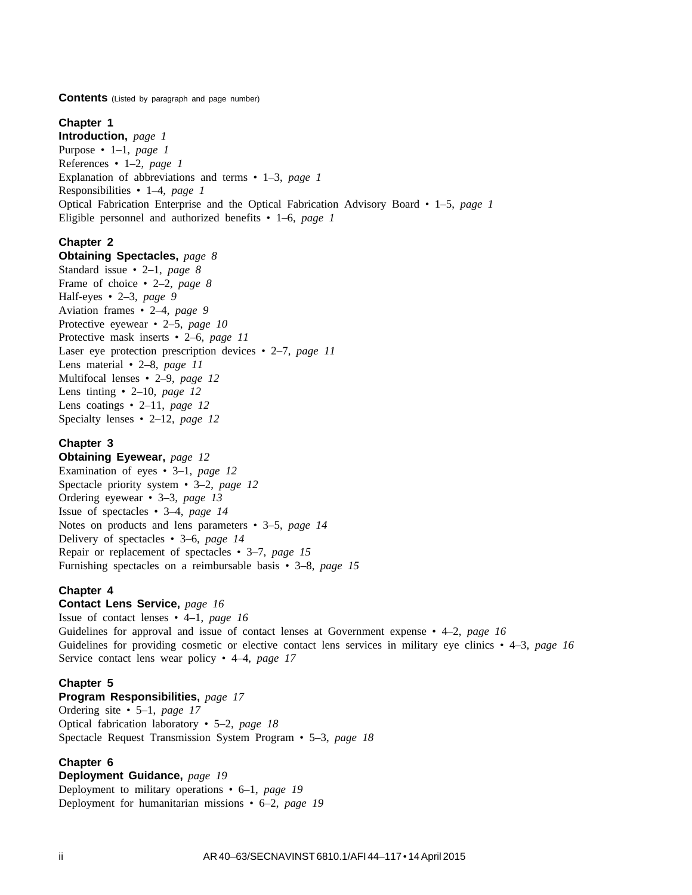**Contents** (Listed by paragraph and page number)

#### **Chapter 1**

**Introduction,** *page 1* Purpose • 1–1, *page 1* References • 1–2, *page 1* Explanation of abbreviations and terms • 1–3, *page 1* Responsibilities • 1–4, *page 1* Optical Fabrication Enterprise and the Optical Fabrication Advisory Board • 1–5, *page 1* Eligible personnel and authorized benefits • 1–6, *page 1*

# **Chapter 2**

**Obtaining Spectacles,** *page 8* Standard issue • 2–1, *page 8* Frame of choice • 2–2, *page 8* Half-eyes • 2–3, *page 9* Aviation frames • 2–4, *page 9* Protective eyewear • 2–5, *page 10* Protective mask inserts • 2–6, *page 11* Laser eye protection prescription devices • 2–7, *page 11* Lens material • 2–8, *page 11* Multifocal lenses • 2–9, *page 12* Lens tinting • 2–10, *page 12* Lens coatings • 2–11, *page 12* Specialty lenses • 2–12, *page 12*

# **Chapter 3**

**Obtaining Eyewear,** *page 12* Examination of eyes • 3–1, *page 12* Spectacle priority system • 3–2, *page 12* Ordering eyewear • 3–3, *page 13* Issue of spectacles • 3–4, *page 14* Notes on products and lens parameters • 3–5, *page 14* Delivery of spectacles • 3–6, *page 14* Repair or replacement of spectacles • 3–7, *page 15* Furnishing spectacles on a reimbursable basis • 3–8, *page 15*

#### **Chapter 4**

**Contact Lens Service,** *page 16*

Issue of contact lenses • 4–1, *page 16* Guidelines for approval and issue of contact lenses at Government expense • 4–2, *page 16* Guidelines for providing cosmetic or elective contact lens services in military eye clinics • 4–3, *page 16* Service contact lens wear policy • 4–4, *page 17*

#### **Chapter 5**

**Program Responsibilities,** *page 17* Ordering site • 5–1, *page 17* Optical fabrication laboratory • 5–2, *page 18* Spectacle Request Transmission System Program • 5–3, *page 18*

#### **Chapter 6**

**Deployment Guidance,** *page 19* Deployment to military operations • 6–1, *page 19* Deployment for humanitarian missions • 6–2, *page 19*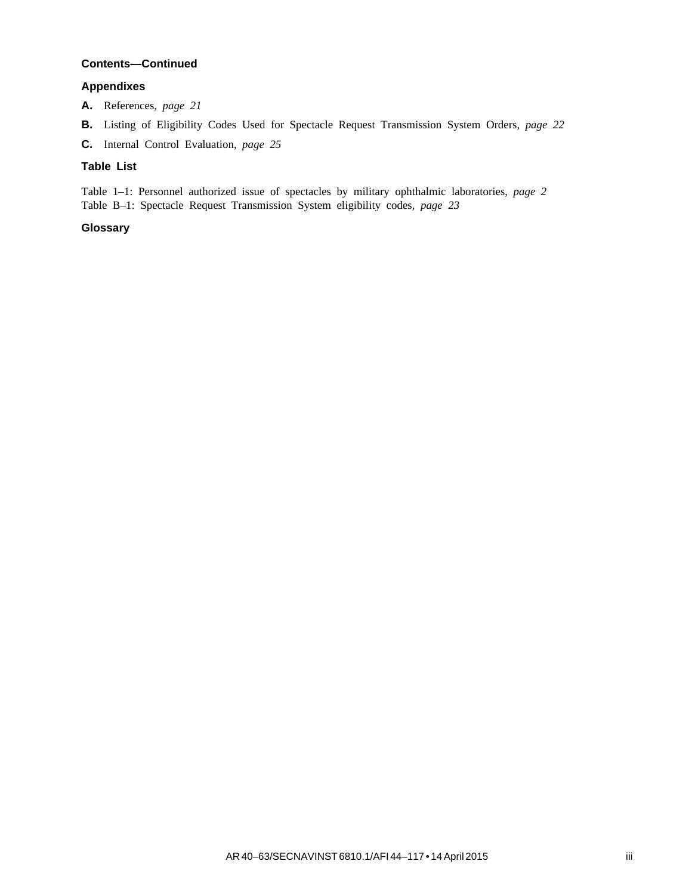# **Contents—Continued**

# **Appendixes**

- **A.** References, *page 21*
- **B.** Listing of Eligibility Codes Used for Spectacle Request Transmission System Orders, *page 22*
- **C.** Internal Control Evaluation, *page 25*

# **Table List**

Table 1–1: Personnel authorized issue of spectacles by military ophthalmic laboratories, *page 2* Table B–1: Spectacle Request Transmission System eligibility codes, *page 23*

# **Glossary**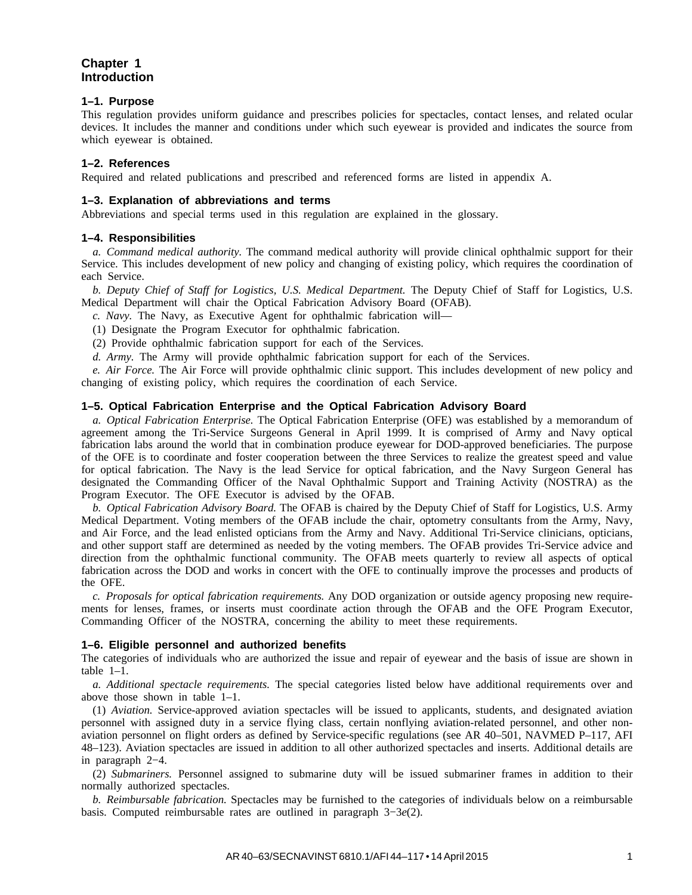# **Chapter 1 Introduction**

#### **1–1. Purpose**

This regulation provides uniform guidance and prescribes policies for spectacles, contact lenses, and related ocular devices. It includes the manner and conditions under which such eyewear is provided and indicates the source from which eyewear is obtained.

#### **1–2. References**

Required and related publications and prescribed and referenced forms are listed in appendix A.

#### **1–3. Explanation of abbreviations and terms**

Abbreviations and special terms used in this regulation are explained in the glossary.

#### **1–4. Responsibilities**

*a. Command medical authority.* The command medical authority will provide clinical ophthalmic support for their Service. This includes development of new policy and changing of existing policy, which requires the coordination of each Service.

*b. Deputy Chief of Staff for Logistics, U.S. Medical Department.* The Deputy Chief of Staff for Logistics, U.S. Medical Department will chair the Optical Fabrication Advisory Board (OFAB).

*c. Navy.* The Navy, as Executive Agent for ophthalmic fabrication will—

(1) Designate the Program Executor for ophthalmic fabrication.

(2) Provide ophthalmic fabrication support for each of the Services.

*d. Army.* The Army will provide ophthalmic fabrication support for each of the Services.

*e. Air Force.* The Air Force will provide ophthalmic clinic support. This includes development of new policy and changing of existing policy, which requires the coordination of each Service.

#### **1–5. Optical Fabrication Enterprise and the Optical Fabrication Advisory Board**

*a. Optical Fabrication Enterprise.* The Optical Fabrication Enterprise (OFE) was established by a memorandum of agreement among the Tri-Service Surgeons General in April 1999. It is comprised of Army and Navy optical fabrication labs around the world that in combination produce eyewear for DOD-approved beneficiaries. The purpose of the OFE is to coordinate and foster cooperation between the three Services to realize the greatest speed and value for optical fabrication. The Navy is the lead Service for optical fabrication, and the Navy Surgeon General has designated the Commanding Officer of the Naval Ophthalmic Support and Training Activity (NOSTRA) as the Program Executor. The OFE Executor is advised by the OFAB.

*b. Optical Fabrication Advisory Board.* The OFAB is chaired by the Deputy Chief of Staff for Logistics, U.S. Army Medical Department. Voting members of the OFAB include the chair, optometry consultants from the Army, Navy, and Air Force, and the lead enlisted opticians from the Army and Navy. Additional Tri-Service clinicians, opticians, and other support staff are determined as needed by the voting members. The OFAB provides Tri-Service advice and direction from the ophthalmic functional community. The OFAB meets quarterly to review all aspects of optical fabrication across the DOD and works in concert with the OFE to continually improve the processes and products of the OFE.

*c. Proposals for optical fabrication requirements.* Any DOD organization or outside agency proposing new requirements for lenses, frames, or inserts must coordinate action through the OFAB and the OFE Program Executor, Commanding Officer of the NOSTRA, concerning the ability to meet these requirements.

#### **1–6. Eligible personnel and authorized benefits**

The categories of individuals who are authorized the issue and repair of eyewear and the basis of issue are shown in table 1–1.

*a. Additional spectacle requirements.* The special categories listed below have additional requirements over and above those shown in table 1–1.

(1) *Aviation.* Service-approved aviation spectacles will be issued to applicants, students, and designated aviation personnel with assigned duty in a service flying class, certain nonflying aviation-related personnel, and other nonaviation personnel on flight orders as defined by Service-specific regulations (see AR 40–501, NAVMED P–117, AFI 48–123). Aviation spectacles are issued in addition to all other authorized spectacles and inserts. Additional details are in paragraph 2−4.

(2) *Submariners.* Personnel assigned to submarine duty will be issued submariner frames in addition to their normally authorized spectacles.

*b. Reimbursable fabrication.* Spectacles may be furnished to the categories of individuals below on a reimbursable basis. Computed reimbursable rates are outlined in paragraph 3−3*e*(2).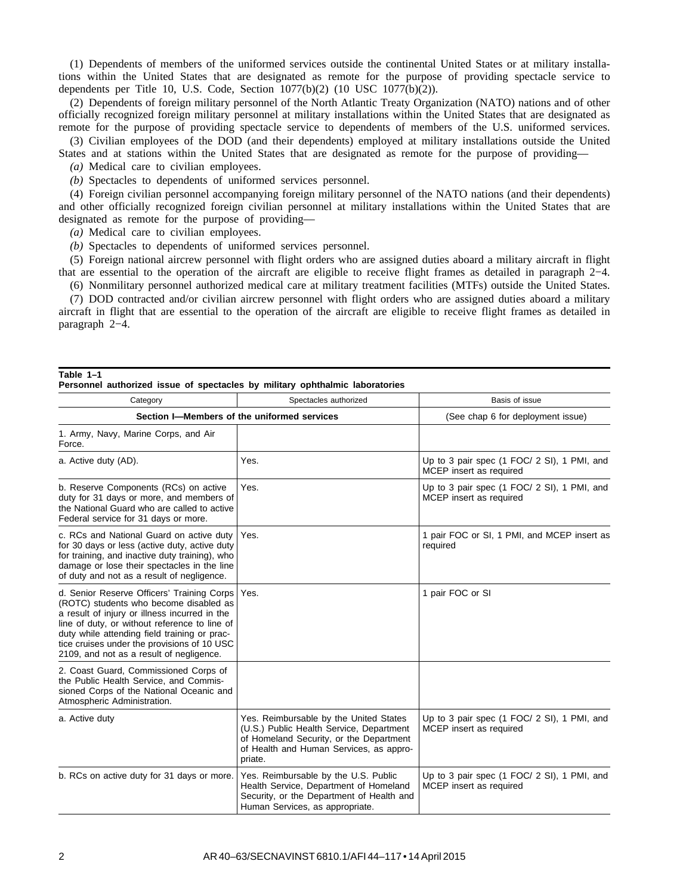(1) Dependents of members of the uniformed services outside the continental United States or at military installations within the United States that are designated as remote for the purpose of providing spectacle service to dependents per Title 10, U.S. Code, Section  $1077(b)(2)$  (10 USC  $1077(b)(2)$ ).

(2) Dependents of foreign military personnel of the North Atlantic Treaty Organization (NATO) nations and of other officially recognized foreign military personnel at military installations within the United States that are designated as remote for the purpose of providing spectacle service to dependents of members of the U.S. uniformed services.

(3) Civilian employees of the DOD (and their dependents) employed at military installations outside the United States and at stations within the United States that are designated as remote for the purpose of providing—

*(a)* Medical care to civilian employees.

*(b)* Spectacles to dependents of uniformed services personnel.

(4) Foreign civilian personnel accompanying foreign military personnel of the NATO nations (and their dependents) and other officially recognized foreign civilian personnel at military installations within the United States that are designated as remote for the purpose of providing—

*(a)* Medical care to civilian employees.

*(b)* Spectacles to dependents of uniformed services personnel.

(5) Foreign national aircrew personnel with flight orders who are assigned duties aboard a military aircraft in flight that are essential to the operation of the aircraft are eligible to receive flight frames as detailed in paragraph 2−4.

(6) Nonmilitary personnel authorized medical care at military treatment facilities (MTFs) outside the United States.

(7) DOD contracted and/or civilian aircrew personnel with flight orders who are assigned duties aboard a military aircraft in flight that are essential to the operation of the aircraft are eligible to receive flight frames as detailed in paragraph 2−4.

# **Table 1–1**

| Personnel authorized issue of spectacles by military ophthalmic laboratories                                                                                                                                                                                                                                                      |                                                                                                                                                                                     |                                                                        |
|-----------------------------------------------------------------------------------------------------------------------------------------------------------------------------------------------------------------------------------------------------------------------------------------------------------------------------------|-------------------------------------------------------------------------------------------------------------------------------------------------------------------------------------|------------------------------------------------------------------------|
| Category                                                                                                                                                                                                                                                                                                                          | Spectacles authorized                                                                                                                                                               | Basis of issue                                                         |
|                                                                                                                                                                                                                                                                                                                                   | Section I-Members of the uniformed services                                                                                                                                         | (See chap 6 for deployment issue)                                      |
| 1. Army, Navy, Marine Corps, and Air<br>Force.                                                                                                                                                                                                                                                                                    |                                                                                                                                                                                     |                                                                        |
| a. Active duty (AD).                                                                                                                                                                                                                                                                                                              | Yes.                                                                                                                                                                                | Up to 3 pair spec (1 FOC/ 2 SI), 1 PMI, and<br>MCEP insert as required |
| b. Reserve Components (RCs) on active<br>duty for 31 days or more, and members of<br>the National Guard who are called to active<br>Federal service for 31 days or more.                                                                                                                                                          | Yes.                                                                                                                                                                                | Up to 3 pair spec (1 FOC/ 2 SI), 1 PMI, and<br>MCEP insert as required |
| c. RCs and National Guard on active duty<br>for 30 days or less (active duty, active duty<br>for training, and inactive duty training), who<br>damage or lose their spectacles in the line<br>of duty and not as a result of negligence.                                                                                          | Yes.                                                                                                                                                                                | 1 pair FOC or SI, 1 PMI, and MCEP insert as<br>required                |
| d. Senior Reserve Officers' Training Corps<br>(ROTC) students who become disabled as<br>a result of injury or illness incurred in the<br>line of duty, or without reference to line of<br>duty while attending field training or prac-<br>tice cruises under the provisions of 10 USC<br>2109, and not as a result of negligence. | Yes.                                                                                                                                                                                | 1 pair FOC or SI                                                       |
| 2. Coast Guard, Commissioned Corps of<br>the Public Health Service, and Commis-<br>sioned Corps of the National Oceanic and<br>Atmospheric Administration.                                                                                                                                                                        |                                                                                                                                                                                     |                                                                        |
| a. Active duty                                                                                                                                                                                                                                                                                                                    | Yes. Reimbursable by the United States<br>(U.S.) Public Health Service, Department<br>of Homeland Security, or the Department<br>of Health and Human Services, as appro-<br>priate. | Up to 3 pair spec (1 FOC/ 2 SI), 1 PMI, and<br>MCEP insert as required |
| b. RCs on active duty for 31 days or more.                                                                                                                                                                                                                                                                                        | Yes. Reimbursable by the U.S. Public<br>Health Service, Department of Homeland<br>Security, or the Department of Health and<br>Human Services, as appropriate.                      | Up to 3 pair spec (1 FOC/ 2 SI), 1 PMI, and<br>MCEP insert as required |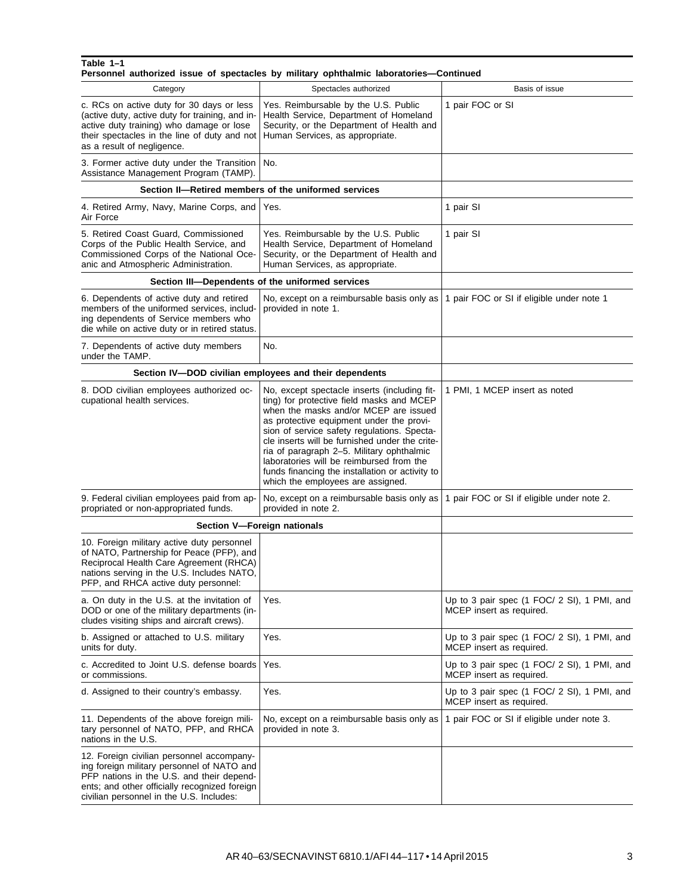|                                                                                                                                                                                                                                   | Personnel authorized issue of spectacles by military ophthalmic laboratories—Continued                                                                                                                                                                                                                                                                                                                                                                           |                                                                         |
|-----------------------------------------------------------------------------------------------------------------------------------------------------------------------------------------------------------------------------------|------------------------------------------------------------------------------------------------------------------------------------------------------------------------------------------------------------------------------------------------------------------------------------------------------------------------------------------------------------------------------------------------------------------------------------------------------------------|-------------------------------------------------------------------------|
| Category                                                                                                                                                                                                                          | Spectacles authorized                                                                                                                                                                                                                                                                                                                                                                                                                                            | Basis of issue                                                          |
| c. RCs on active duty for 30 days or less<br>(active duty, active duty for training, and in-<br>active duty training) who damage or lose<br>their spectacles in the line of duty and not<br>as a result of negligence.            | Yes. Reimbursable by the U.S. Public<br>Health Service, Department of Homeland<br>Security, or the Department of Health and<br>Human Services, as appropriate.                                                                                                                                                                                                                                                                                                   | 1 pair FOC or SI                                                        |
| 3. Former active duty under the Transition<br>Assistance Management Program (TAMP).                                                                                                                                               | No.                                                                                                                                                                                                                                                                                                                                                                                                                                                              |                                                                         |
|                                                                                                                                                                                                                                   | Section II-Retired members of the uniformed services                                                                                                                                                                                                                                                                                                                                                                                                             |                                                                         |
| 4. Retired Army, Navy, Marine Corps, and<br>Air Force                                                                                                                                                                             | Yes.                                                                                                                                                                                                                                                                                                                                                                                                                                                             | 1 pair SI                                                               |
| 5. Retired Coast Guard, Commissioned<br>Corps of the Public Health Service, and<br>Commissioned Corps of the National Oce-<br>anic and Atmospheric Administration.                                                                | Yes. Reimbursable by the U.S. Public<br>Health Service, Department of Homeland<br>Security, or the Department of Health and<br>Human Services, as appropriate.                                                                                                                                                                                                                                                                                                   | 1 pair SI                                                               |
|                                                                                                                                                                                                                                   | Section III-Dependents of the uniformed services                                                                                                                                                                                                                                                                                                                                                                                                                 |                                                                         |
| 6. Dependents of active duty and retired<br>members of the uniformed services, includ-<br>ing dependents of Service members who<br>die while on active duty or in retired status.                                                 | No, except on a reimbursable basis only as<br>provided in note 1.                                                                                                                                                                                                                                                                                                                                                                                                | 1 pair FOC or SI if eligible under note 1                               |
| 7. Dependents of active duty members<br>under the TAMP.                                                                                                                                                                           | No.                                                                                                                                                                                                                                                                                                                                                                                                                                                              |                                                                         |
|                                                                                                                                                                                                                                   | Section IV-DOD civilian employees and their dependents                                                                                                                                                                                                                                                                                                                                                                                                           |                                                                         |
| 8. DOD civilian employees authorized oc-<br>cupational health services.                                                                                                                                                           | No, except spectacle inserts (including fit-<br>ting) for protective field masks and MCEP<br>when the masks and/or MCEP are issued<br>as protective equipment under the provi-<br>sion of service safety regulations. Specta-<br>cle inserts will be furnished under the crite-<br>ria of paragraph 2-5. Military ophthalmic<br>laboratories will be reimbursed from the<br>funds financing the installation or activity to<br>which the employees are assigned. | 1 PMI, 1 MCEP insert as noted                                           |
| 9. Federal civilian employees paid from ap-<br>propriated or non-appropriated funds.                                                                                                                                              | No, except on a reimbursable basis only as<br>provided in note 2.                                                                                                                                                                                                                                                                                                                                                                                                | 1 pair FOC or SI if eligible under note 2.                              |
|                                                                                                                                                                                                                                   | Section V-Foreign nationals                                                                                                                                                                                                                                                                                                                                                                                                                                      |                                                                         |
| 10. Foreign military active duty personnel<br>of NATO, Partnership for Peace (PFP), and<br>Reciprocal Health Care Agreement (RHCA)<br>nations serving in the U.S. Includes NATO,<br>PFP, and RHCA active duty personnel:          |                                                                                                                                                                                                                                                                                                                                                                                                                                                                  |                                                                         |
| a. On duty in the U.S. at the invitation of<br>DOD or one of the military departments (in-<br>cludes visiting ships and aircraft crews).                                                                                          | Yes.                                                                                                                                                                                                                                                                                                                                                                                                                                                             | Up to 3 pair spec (1 FOC/ 2 SI), 1 PMI, and<br>MCEP insert as required. |
| b. Assigned or attached to U.S. military<br>units for duty.                                                                                                                                                                       | Yes.                                                                                                                                                                                                                                                                                                                                                                                                                                                             | Up to 3 pair spec (1 FOC/ 2 SI), 1 PMI, and<br>MCEP insert as required. |
| c. Accredited to Joint U.S. defense boards<br>or commissions.                                                                                                                                                                     | Yes.                                                                                                                                                                                                                                                                                                                                                                                                                                                             | Up to 3 pair spec (1 FOC/ 2 SI), 1 PMI, and<br>MCEP insert as required. |
| d. Assigned to their country's embassy.                                                                                                                                                                                           | Yes.                                                                                                                                                                                                                                                                                                                                                                                                                                                             | Up to 3 pair spec (1 FOC/ 2 SI), 1 PMI, and<br>MCEP insert as required. |
| 11. Dependents of the above foreign mili-<br>tary personnel of NATO, PFP, and RHCA<br>nations in the U.S.                                                                                                                         | No, except on a reimbursable basis only as<br>provided in note 3.                                                                                                                                                                                                                                                                                                                                                                                                | 1 pair FOC or SI if eligible under note 3.                              |
| 12. Foreign civilian personnel accompany-<br>ing foreign military personnel of NATO and<br>PFP nations in the U.S. and their depend-<br>ents; and other officially recognized foreign<br>civilian personnel in the U.S. Includes: |                                                                                                                                                                                                                                                                                                                                                                                                                                                                  |                                                                         |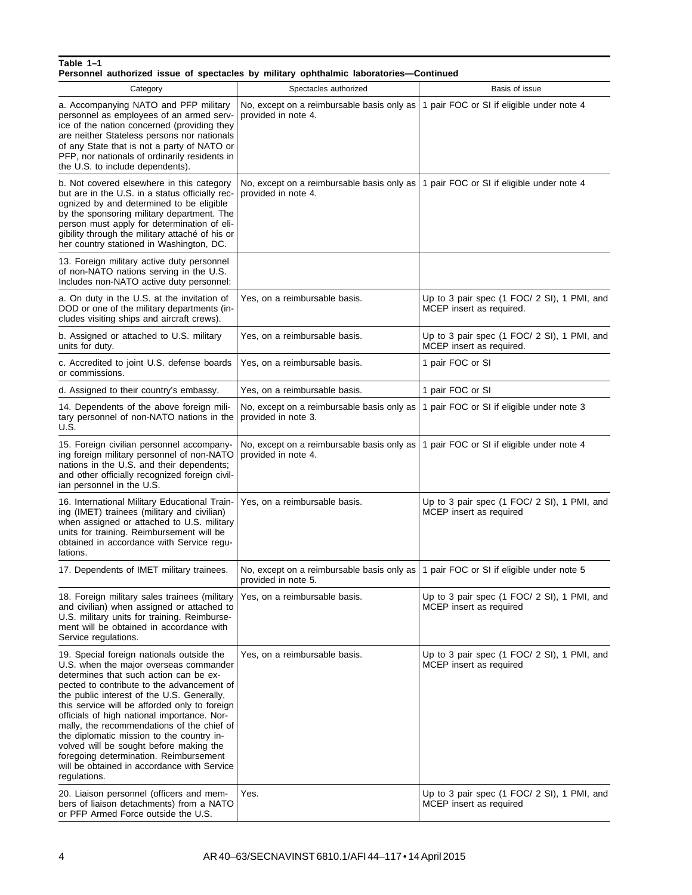| Personnel authorized issue of spectacles by military ophthalmic laboratories—Continued |  |  |  |  |  |  |  |  |  |
|----------------------------------------------------------------------------------------|--|--|--|--|--|--|--|--|--|
|----------------------------------------------------------------------------------------|--|--|--|--|--|--|--|--|--|

| Category                                                                                                                                                                                                                                                                                                                                                                                                                                                                                                                                                                 | Spectacles authorized                                             | Basis of issue                                                          |
|--------------------------------------------------------------------------------------------------------------------------------------------------------------------------------------------------------------------------------------------------------------------------------------------------------------------------------------------------------------------------------------------------------------------------------------------------------------------------------------------------------------------------------------------------------------------------|-------------------------------------------------------------------|-------------------------------------------------------------------------|
| a. Accompanying NATO and PFP military<br>personnel as employees of an armed serv-<br>ice of the nation concerned (providing they<br>are neither Stateless persons nor nationals<br>of any State that is not a party of NATO or<br>PFP, nor nationals of ordinarily residents in<br>the U.S. to include dependents).                                                                                                                                                                                                                                                      | No, except on a reimbursable basis only as<br>provided in note 4. | 1 pair FOC or SI if eligible under note 4                               |
| b. Not covered elsewhere in this category<br>but are in the U.S. in a status officially rec-<br>ognized by and determined to be eligible<br>by the sponsoring military department. The<br>person must apply for determination of eli-<br>gibility through the military attaché of his or<br>her country stationed in Washington, DC.                                                                                                                                                                                                                                     | No, except on a reimbursable basis only as<br>provided in note 4. | 1 pair FOC or SI if eligible under note 4                               |
| 13. Foreign military active duty personnel<br>of non-NATO nations serving in the U.S.<br>Includes non-NATO active duty personnel:                                                                                                                                                                                                                                                                                                                                                                                                                                        |                                                                   |                                                                         |
| a. On duty in the U.S. at the invitation of<br>DOD or one of the military departments (in-<br>cludes visiting ships and aircraft crews).                                                                                                                                                                                                                                                                                                                                                                                                                                 | Yes, on a reimbursable basis.                                     | Up to 3 pair spec (1 FOC/ 2 SI), 1 PMI, and<br>MCEP insert as required. |
| b. Assigned or attached to U.S. military<br>units for duty.                                                                                                                                                                                                                                                                                                                                                                                                                                                                                                              | Yes, on a reimbursable basis.                                     | Up to 3 pair spec (1 FOC/ 2 SI), 1 PMI, and<br>MCEP insert as required. |
| c. Accredited to joint U.S. defense boards<br>or commissions.                                                                                                                                                                                                                                                                                                                                                                                                                                                                                                            | Yes, on a reimbursable basis.                                     | 1 pair FOC or SI                                                        |
| d. Assigned to their country's embassy.                                                                                                                                                                                                                                                                                                                                                                                                                                                                                                                                  | Yes, on a reimbursable basis.                                     | 1 pair FOC or SI                                                        |
| 14. Dependents of the above foreign mili-<br>tary personnel of non-NATO nations in the<br>U.S.                                                                                                                                                                                                                                                                                                                                                                                                                                                                           | No, except on a reimbursable basis only as<br>provided in note 3. | 1 pair FOC or SI if eligible under note 3                               |
| 15. Foreign civilian personnel accompany-<br>ing foreign military personnel of non-NATO<br>nations in the U.S. and their dependents;<br>and other officially recognized foreign civil-<br>ian personnel in the U.S.                                                                                                                                                                                                                                                                                                                                                      | No, except on a reimbursable basis only as<br>provided in note 4. | 1 pair FOC or SI if eligible under note 4                               |
| 16. International Military Educational Train-<br>ing (IMET) trainees (military and civilian)<br>when assigned or attached to U.S. military<br>units for training. Reimbursement will be<br>obtained in accordance with Service regu-<br>lations.                                                                                                                                                                                                                                                                                                                         | Yes, on a reimbursable basis.                                     | Up to 3 pair spec (1 FOC/ 2 SI), 1 PMI, and<br>MCEP insert as required  |
| 17. Dependents of IMET military trainees.                                                                                                                                                                                                                                                                                                                                                                                                                                                                                                                                | No, except on a reimbursable basis only as<br>provided in note 5. | 1 pair FOC or SI if eligible under note 5                               |
| 18. Foreign military sales trainees (military<br>and civilian) when assigned or attached to<br>U.S. military units for training. Reimburse-<br>ment will be obtained in accordance with<br>Service regulations.                                                                                                                                                                                                                                                                                                                                                          | Yes, on a reimbursable basis.                                     | Up to 3 pair spec (1 FOC/ 2 SI), 1 PMI, and<br>MCEP insert as required  |
| 19. Special foreign nationals outside the<br>U.S. when the major overseas commander<br>determines that such action can be ex-<br>pected to contribute to the advancement of<br>the public interest of the U.S. Generally,<br>this service will be afforded only to foreign<br>officials of high national importance. Nor-<br>mally, the recommendations of the chief of<br>the diplomatic mission to the country in-<br>volved will be sought before making the<br>foregoing determination. Reimbursement<br>will be obtained in accordance with Service<br>regulations. | Yes, on a reimbursable basis.                                     | Up to 3 pair spec (1 FOC/ 2 SI), 1 PMI, and<br>MCEP insert as required  |
| 20. Liaison personnel (officers and mem-<br>bers of liaison detachments) from a NATO<br>or PFP Armed Force outside the U.S.                                                                                                                                                                                                                                                                                                                                                                                                                                              | Yes.                                                              | Up to 3 pair spec (1 FOC/ 2 SI), 1 PMI, and<br>MCEP insert as required  |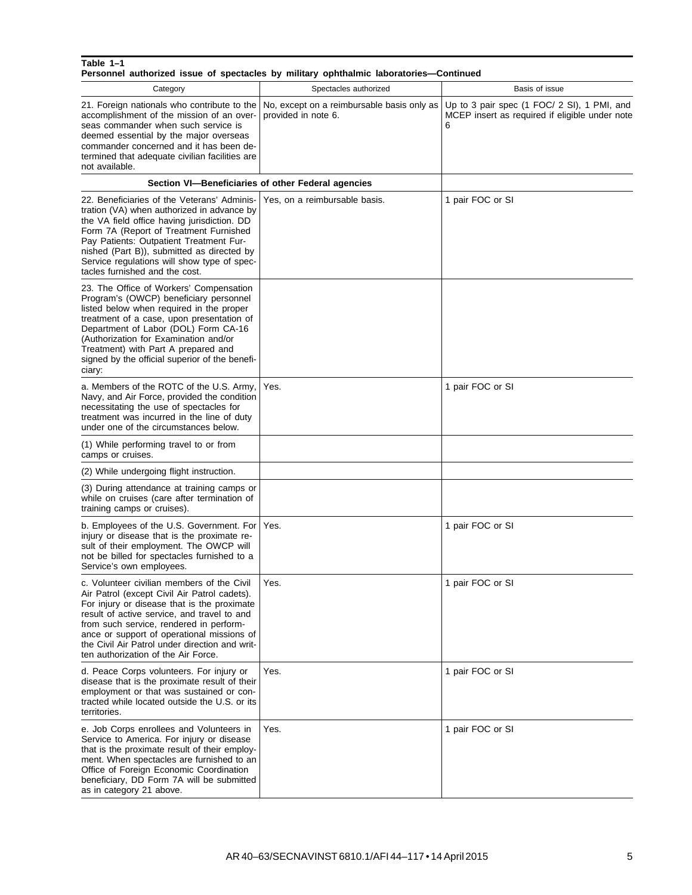#### **Table 1–1 Personnel authorized issue of spectacles by military ophthalmic laboratories—Continued**

| Category                                                                                                                                                                                                                                                                                                                                                                   | Spectacles authorized                                             | Basis of issue                                                                                     |
|----------------------------------------------------------------------------------------------------------------------------------------------------------------------------------------------------------------------------------------------------------------------------------------------------------------------------------------------------------------------------|-------------------------------------------------------------------|----------------------------------------------------------------------------------------------------|
| 21. Foreign nationals who contribute to the<br>accomplishment of the mission of an over-<br>seas commander when such service is<br>deemed essential by the major overseas<br>commander concerned and it has been de-<br>termined that adequate civilian facilities are<br>not available.                                                                                   | No, except on a reimbursable basis only as<br>provided in note 6. | Up to 3 pair spec (1 FOC/ 2 SI), 1 PMI, and<br>MCEP insert as required if eligible under note<br>6 |
|                                                                                                                                                                                                                                                                                                                                                                            | Section VI-Beneficiaries of other Federal agencies                |                                                                                                    |
| 22. Beneficiaries of the Veterans' Adminis-<br>tration (VA) when authorized in advance by<br>the VA field office having jurisdiction. DD<br>Form 7A (Report of Treatment Furnished<br>Pay Patients: Outpatient Treatment Fur-<br>nished (Part B)), submitted as directed by<br>Service regulations will show type of spec-<br>tacles furnished and the cost.               | Yes, on a reimbursable basis.                                     | 1 pair FOC or SI                                                                                   |
| 23. The Office of Workers' Compensation<br>Program's (OWCP) beneficiary personnel<br>listed below when required in the proper<br>treatment of a case, upon presentation of<br>Department of Labor (DOL) Form CA-16<br>(Authorization for Examination and/or<br>Treatment) with Part A prepared and<br>signed by the official superior of the benefi-<br>ciary:             |                                                                   |                                                                                                    |
| a. Members of the ROTC of the U.S. Army,<br>Navy, and Air Force, provided the condition<br>necessitating the use of spectacles for<br>treatment was incurred in the line of duty<br>under one of the circumstances below.                                                                                                                                                  | Yes.                                                              | 1 pair FOC or SI                                                                                   |
| (1) While performing travel to or from<br>camps or cruises.                                                                                                                                                                                                                                                                                                                |                                                                   |                                                                                                    |
| (2) While undergoing flight instruction.                                                                                                                                                                                                                                                                                                                                   |                                                                   |                                                                                                    |
| (3) During attendance at training camps or<br>while on cruises (care after termination of<br>training camps or cruises).                                                                                                                                                                                                                                                   |                                                                   |                                                                                                    |
| b. Employees of the U.S. Government. For<br>injury or disease that is the proximate re-<br>sult of their employment. The OWCP will<br>not be billed for spectacles furnished to a<br>Service's own employees.                                                                                                                                                              | Yes.                                                              | 1 pair FOC or SI                                                                                   |
| c. Volunteer civilian members of the Civil<br>Air Patrol (except Civil Air Patrol cadets).<br>For injury or disease that is the proximate<br>result of active service, and travel to and<br>from such service, rendered in perform-<br>ance or support of operational missions of<br>the Civil Air Patrol under direction and writ-<br>ten authorization of the Air Force. | Yes.                                                              | 1 pair FOC or SI                                                                                   |
| d. Peace Corps volunteers. For injury or<br>disease that is the proximate result of their<br>employment or that was sustained or con-<br>tracted while located outside the U.S. or its<br>territories.                                                                                                                                                                     | Yes.                                                              | 1 pair FOC or SI                                                                                   |
| e. Job Corps enrollees and Volunteers in<br>Service to America. For injury or disease<br>that is the proximate result of their employ-<br>ment. When spectacles are furnished to an<br>Office of Foreign Economic Coordination<br>beneficiary, DD Form 7A will be submitted<br>as in category 21 above.                                                                    | Yes.                                                              | 1 pair FOC or SI                                                                                   |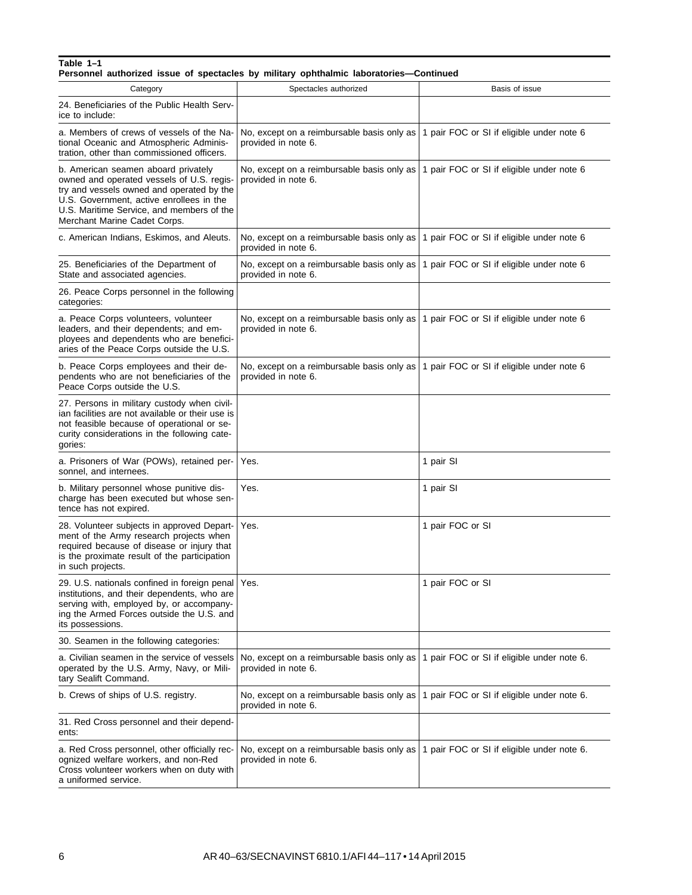**Personnel authorized issue of spectacles by military ophthalmic laboratories—Continued**

| Category                                                                                                                                                                                                                                               | Spectacles authorized                                               | Basis of issue                             |
|--------------------------------------------------------------------------------------------------------------------------------------------------------------------------------------------------------------------------------------------------------|---------------------------------------------------------------------|--------------------------------------------|
| 24. Beneficiaries of the Public Health Serv-<br>ice to include:                                                                                                                                                                                        |                                                                     |                                            |
| a. Members of crews of vessels of the Na-<br>tional Oceanic and Atmospheric Adminis-<br>tration, other than commissioned officers.                                                                                                                     | No, except on a reimbursable basis only as<br>provided in note 6.   | 1 pair FOC or SI if eligible under note 6  |
| b. American seamen aboard privately<br>owned and operated vessels of U.S. regis-<br>try and vessels owned and operated by the<br>U.S. Government, active enrollees in the<br>U.S. Maritime Service, and members of the<br>Merchant Marine Cadet Corps. | No, except on a reimbursable basis only as<br>provided in note 6.   | 1 pair FOC or SI if eligible under note 6  |
| c. American Indians, Eskimos, and Aleuts.                                                                                                                                                                                                              | No, except on a reimbursable basis only as<br>provided in note 6.   | 1 pair FOC or SI if eligible under note 6  |
| 25. Beneficiaries of the Department of<br>State and associated agencies.                                                                                                                                                                               | No, except on a reimbursable basis only as<br>provided in note 6.   | 1 pair FOC or SI if eligible under note 6  |
| 26. Peace Corps personnel in the following<br>categories:                                                                                                                                                                                              |                                                                     |                                            |
| a. Peace Corps volunteers, volunteer<br>leaders, and their dependents; and em-<br>ployees and dependents who are benefici-<br>aries of the Peace Corps outside the U.S.                                                                                | No, except on a reimbursable basis only as<br>provided in note 6.   | 1 pair FOC or SI if eligible under note 6  |
| b. Peace Corps employees and their de-<br>pendents who are not beneficiaries of the<br>Peace Corps outside the U.S.                                                                                                                                    | No, except on a reimbursable basis only as  <br>provided in note 6. | 1 pair FOC or SI if eligible under note 6  |
| 27. Persons in military custody when civil-<br>ian facilities are not available or their use is<br>not feasible because of operational or se-<br>curity considerations in the following cate-<br>gories:                                               |                                                                     |                                            |
| a. Prisoners of War (POWs), retained per-<br>sonnel, and internees.                                                                                                                                                                                    | Yes.                                                                | 1 pair SI                                  |
| b. Military personnel whose punitive dis-<br>charge has been executed but whose sen-<br>tence has not expired.                                                                                                                                         | Yes.                                                                | 1 pair SI                                  |
| 28. Volunteer subjects in approved Depart-<br>ment of the Army research projects when<br>required because of disease or injury that<br>is the proximate result of the participation<br>in such projects.                                               | Yes.                                                                | 1 pair FOC or SI                           |
| 29. U.S. nationals confined in foreign penal   Yes.<br>institutions, and their dependents, who are<br>serving with, employed by, or accompany-<br>ing the Armed Forces outside the U.S. and<br>its possessions.                                        |                                                                     | 1 pair FOC or SI                           |
| 30. Seamen in the following categories:                                                                                                                                                                                                                |                                                                     |                                            |
| a. Civilian seamen in the service of vessels<br>operated by the U.S. Army, Navy, or Mili-<br>tary Sealift Command.                                                                                                                                     | No, except on a reimbursable basis only as<br>provided in note 6.   | 1 pair FOC or SI if eligible under note 6. |
| b. Crews of ships of U.S. registry.                                                                                                                                                                                                                    | No, except on a reimbursable basis only as<br>provided in note 6.   | 1 pair FOC or SI if eligible under note 6. |
| 31. Red Cross personnel and their depend-<br>ents:                                                                                                                                                                                                     |                                                                     |                                            |
| a. Red Cross personnel, other officially rec-<br>ognized welfare workers, and non-Red<br>Cross volunteer workers when on duty with<br>a uniformed service.                                                                                             | No, except on a reimbursable basis only as<br>provided in note 6.   | 1 pair FOC or SI if eligible under note 6. |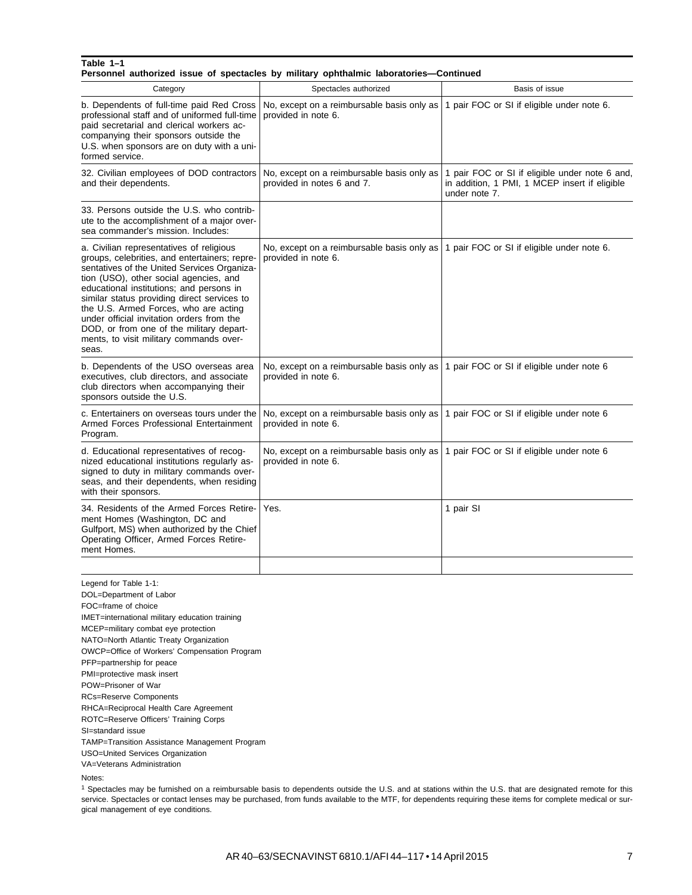|                                                                                                                                                                                                                                                                                                                                                                                                                                                                     | Personnel authorized issue of spectacles by military ophthalmic laboratories-Continued                               |                                                                                                                  |
|---------------------------------------------------------------------------------------------------------------------------------------------------------------------------------------------------------------------------------------------------------------------------------------------------------------------------------------------------------------------------------------------------------------------------------------------------------------------|----------------------------------------------------------------------------------------------------------------------|------------------------------------------------------------------------------------------------------------------|
| Category                                                                                                                                                                                                                                                                                                                                                                                                                                                            | Spectacles authorized                                                                                                | Basis of issue                                                                                                   |
| b. Dependents of full-time paid Red Cross<br>professional staff and of uniformed full-time<br>paid secretarial and clerical workers ac-<br>companying their sponsors outside the<br>U.S. when sponsors are on duty with a uni-<br>formed service.                                                                                                                                                                                                                   | No, except on a reimbursable basis only as   1 pair FOC or SI if eligible under note 6.<br>provided in note 6.       |                                                                                                                  |
| 32. Civilian employees of DOD contractors<br>and their dependents.                                                                                                                                                                                                                                                                                                                                                                                                  | No, except on a reimbursable basis only as<br>provided in notes 6 and 7.                                             | 1 pair FOC or SI if eligible under note 6 and,<br>in addition, 1 PMI, 1 MCEP insert if eligible<br>under note 7. |
| 33. Persons outside the U.S. who contrib-<br>ute to the accomplishment of a major over-<br>sea commander's mission. Includes:                                                                                                                                                                                                                                                                                                                                       |                                                                                                                      |                                                                                                                  |
| a. Civilian representatives of religious<br>groups, celebrities, and entertainers; repre-<br>sentatives of the United Services Organiza-<br>tion (USO), other social agencies, and<br>educational institutions; and persons in<br>similar status providing direct services to<br>the U.S. Armed Forces, who are acting<br>under official invitation orders from the<br>DOD, or from one of the military depart-<br>ments, to visit military commands over-<br>seas. | No, except on a reimbursable basis only as $\vert$ 1 pair FOC or SI if eligible under note 6.<br>provided in note 6. |                                                                                                                  |
| b. Dependents of the USO overseas area<br>executives, club directors, and associate<br>club directors when accompanying their<br>sponsors outside the U.S.                                                                                                                                                                                                                                                                                                          | No, except on a reimbursable basis only as<br>provided in note 6.                                                    | 1 pair FOC or SI if eligible under note 6                                                                        |
| c. Entertainers on overseas tours under the<br>Armed Forces Professional Entertainment<br>Program.                                                                                                                                                                                                                                                                                                                                                                  | No, except on a reimbursable basis only as  <br>provided in note 6.                                                  | 1 pair FOC or SI if eligible under note 6                                                                        |
| d. Educational representatives of recog-<br>nized educational institutions regularly as-<br>signed to duty in military commands over-<br>seas, and their dependents, when residing<br>with their sponsors.                                                                                                                                                                                                                                                          | No, except on a reimbursable basis only as  <br>provided in note 6.                                                  | 1 pair FOC or SI if eligible under note 6                                                                        |
| 34. Residents of the Armed Forces Retire-<br>ment Homes (Washington, DC and<br>Gulfport, MS) when authorized by the Chief<br>Operating Officer, Armed Forces Retire-<br>ment Homes.                                                                                                                                                                                                                                                                                 | Yes.                                                                                                                 | 1 pair SI                                                                                                        |
|                                                                                                                                                                                                                                                                                                                                                                                                                                                                     |                                                                                                                      |                                                                                                                  |
| Legend for Table 1-1:<br>DOL=Department of Labor<br>FOC=frame of choice<br>IMET=international military education training<br>MCEP=military combat eye protection<br>NATO=North Atlantic Treaty Organization<br>OWCP=Office of Workers' Compensation Program                                                                                                                                                                                                         |                                                                                                                      |                                                                                                                  |

PFP=partnership for peace

PMI=protective mask insert

POW=Prisoner of War RCs=Reserve Components

RHCA=Reciprocal Health Care Agreement

ROTC=Reserve Officers' Training Corps

SI=standard issue

TAMP=Transition Assistance Management Program

USO=United Services Organization

VA=Veterans Administration

Notes:

<sup>1</sup> Spectacles may be furnished on a reimbursable basis to dependents outside the U.S. and at stations within the U.S. that are designated remote for this service. Spectacles or contact lenses may be purchased, from funds available to the MTF, for dependents requiring these items for complete medical or surgical management of eye conditions.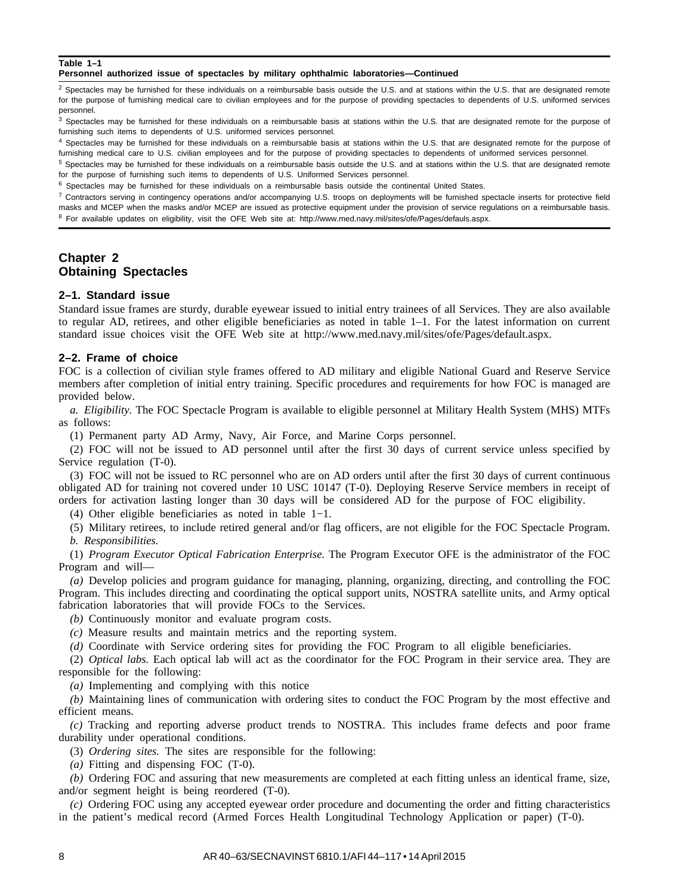**Personnel authorized issue of spectacles by military ophthalmic laboratories—Continued**

 $<sup>2</sup>$  Spectacles may be furnished for these individuals on a reimbursable basis outside the U.S. and at stations within the U.S. that are designated remote</sup> for the purpose of furnishing medical care to civilian employees and for the purpose of providing spectacles to dependents of U.S. uniformed services personnel.

<sup>3</sup> Spectacles may be furnished for these individuals on a reimbursable basis at stations within the U.S. that are designated remote for the purpose of furnishing such items to dependents of U.S. uniformed services personnel.

4 Spectacles may be furnished for these individuals on a reimbursable basis at stations within the U.S. that are designated remote for the purpose of furnishing medical care to U.S. civilian employees and for the purpose of providing spectacles to dependents of uniformed services personnel.

<sup>5</sup> Spectacles may be furnished for these individuals on a reimbursable basis outside the U.S. and at stations within the U.S. that are designated remote for the purpose of furnishing such items to dependents of U.S. Uniformed Services personnel.

 $6$  Spectacles may be furnished for these individuals on a reimbursable basis outside the continental United States.

 $7$  Contractors serving in contingency operations and/or accompanying U.S. troops on deployments will be furnished spectacle inserts for protective field masks and MCEP when the masks and/or MCEP are issued as protective equipment under the provision of service regulations on a reimbursable basis. <sup>8</sup> For available updates on eligibility, visit the OFE Web site at: http://www.med.navy.mil/sites/ofe/Pages/defauls.aspx.

# **Chapter 2 Obtaining Spectacles**

#### **2–1. Standard issue**

Standard issue frames are sturdy, durable eyewear issued to initial entry trainees of all Services. They are also available to regular AD, retirees, and other eligible beneficiaries as noted in table 1–1. For the latest information on current standard issue choices visit the OFE Web site at http://www.med.navy.mil/sites/ofe/Pages/default.aspx.

#### **2–2. Frame of choice**

FOC is a collection of civilian style frames offered to AD military and eligible National Guard and Reserve Service members after completion of initial entry training. Specific procedures and requirements for how FOC is managed are provided below.

*a. Eligibility.* The FOC Spectacle Program is available to eligible personnel at Military Health System (MHS) MTFs as follows:

(1) Permanent party AD Army, Navy, Air Force, and Marine Corps personnel.

(2) FOC will not be issued to AD personnel until after the first 30 days of current service unless specified by Service regulation (T-0).

(3) FOC will not be issued to RC personnel who are on AD orders until after the first 30 days of current continuous obligated AD for training not covered under 10 USC 10147 (T-0). Deploying Reserve Service members in receipt of orders for activation lasting longer than 30 days will be considered AD for the purpose of FOC eligibility.

(4) Other eligible beneficiaries as noted in table 1−1.

(5) Military retirees, to include retired general and/or flag officers, are not eligible for the FOC Spectacle Program. *b. Responsibilities.*

(1) *Program Executor Optical Fabrication Enterprise.* The Program Executor OFE is the administrator of the FOC Program and will—

*(a)* Develop policies and program guidance for managing, planning, organizing, directing, and controlling the FOC Program. This includes directing and coordinating the optical support units, NOSTRA satellite units, and Army optical fabrication laboratories that will provide FOCs to the Services.

*(b)* Continuously monitor and evaluate program costs.

*(c)* Measure results and maintain metrics and the reporting system.

*(d)* Coordinate with Service ordering sites for providing the FOC Program to all eligible beneficiaries.

(2) *Optical labs.* Each optical lab will act as the coordinator for the FOC Program in their service area. They are responsible for the following:

*(a)* Implementing and complying with this notice

*(b)* Maintaining lines of communication with ordering sites to conduct the FOC Program by the most effective and efficient means.

*(c)* Tracking and reporting adverse product trends to NOSTRA. This includes frame defects and poor frame durability under operational conditions.

(3) *Ordering sites.* The sites are responsible for the following:

*(a)* Fitting and dispensing FOC (T-0).

*(b)* Ordering FOC and assuring that new measurements are completed at each fitting unless an identical frame, size, and/or segment height is being reordered (T-0).

*(c)* Ordering FOC using any accepted eyewear order procedure and documenting the order and fitting characteristics in the patient's medical record (Armed Forces Health Longitudinal Technology Application or paper) (T-0).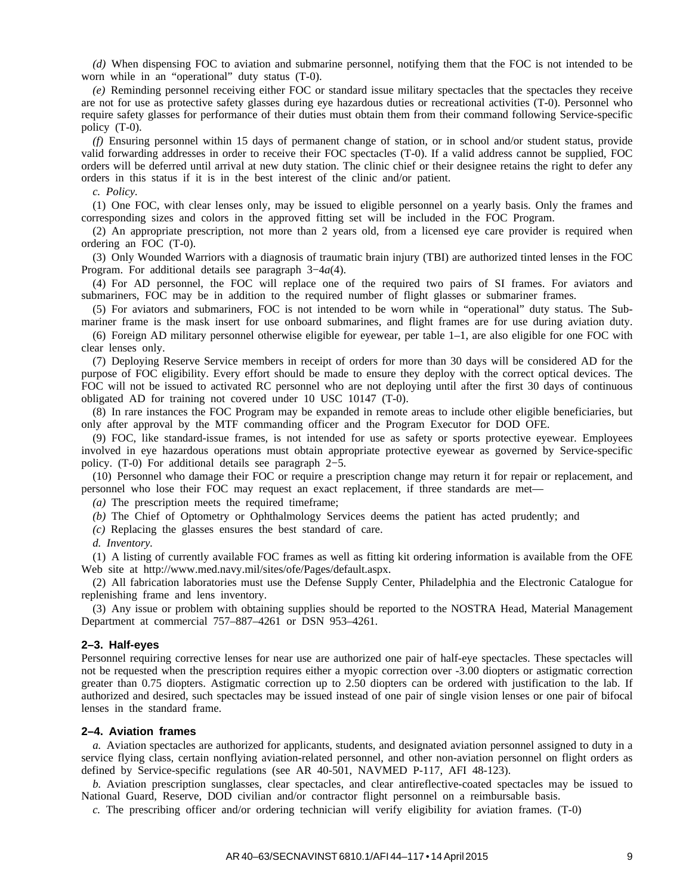*(d)* When dispensing FOC to aviation and submarine personnel, notifying them that the FOC is not intended to be worn while in an "operational" duty status (T-0).

*(e)* Reminding personnel receiving either FOC or standard issue military spectacles that the spectacles they receive are not for use as protective safety glasses during eye hazardous duties or recreational activities (T-0). Personnel who require safety glasses for performance of their duties must obtain them from their command following Service-specific policy (T-0).

*(f)* Ensuring personnel within 15 days of permanent change of station, or in school and/or student status, provide valid forwarding addresses in order to receive their FOC spectacles (T-0). If a valid address cannot be supplied, FOC orders will be deferred until arrival at new duty station. The clinic chief or their designee retains the right to defer any orders in this status if it is in the best interest of the clinic and/or patient.

*c. Policy.*

(1) One FOC, with clear lenses only, may be issued to eligible personnel on a yearly basis. Only the frames and corresponding sizes and colors in the approved fitting set will be included in the FOC Program.

(2) An appropriate prescription, not more than 2 years old, from a licensed eye care provider is required when ordering an FOC (T-0).

(3) Only Wounded Warriors with a diagnosis of traumatic brain injury (TBI) are authorized tinted lenses in the FOC Program. For additional details see paragraph 3−4*a*(4).

(4) For AD personnel, the FOC will replace one of the required two pairs of SI frames. For aviators and submariners, FOC may be in addition to the required number of flight glasses or submariner frames.

(5) For aviators and submariners, FOC is not intended to be worn while in "operational" duty status. The Submariner frame is the mask insert for use onboard submarines, and flight frames are for use during aviation duty.

(6) Foreign AD military personnel otherwise eligible for eyewear, per table 1–1, are also eligible for one FOC with clear lenses only.

(7) Deploying Reserve Service members in receipt of orders for more than 30 days will be considered AD for the purpose of FOC eligibility. Every effort should be made to ensure they deploy with the correct optical devices. The FOC will not be issued to activated RC personnel who are not deploying until after the first 30 days of continuous obligated AD for training not covered under 10 USC 10147 (T-0).

(8) In rare instances the FOC Program may be expanded in remote areas to include other eligible beneficiaries, but only after approval by the MTF commanding officer and the Program Executor for DOD OFE.

(9) FOC, like standard-issue frames, is not intended for use as safety or sports protective eyewear. Employees involved in eye hazardous operations must obtain appropriate protective eyewear as governed by Service-specific policy. (T-0) For additional details see paragraph 2−5.

(10) Personnel who damage their FOC or require a prescription change may return it for repair or replacement, and personnel who lose their FOC may request an exact replacement, if three standards are met—

*(a)* The prescription meets the required timeframe;

*(b)* The Chief of Optometry or Ophthalmology Services deems the patient has acted prudently; and

*(c)* Replacing the glasses ensures the best standard of care.

*d. Inventory.*

(1) A listing of currently available FOC frames as well as fitting kit ordering information is available from the OFE Web site at http://www.med.navy.mil/sites/ofe/Pages/default.aspx.

(2) All fabrication laboratories must use the Defense Supply Center, Philadelphia and the Electronic Catalogue for replenishing frame and lens inventory.

(3) Any issue or problem with obtaining supplies should be reported to the NOSTRA Head, Material Management Department at commercial 757–887–4261 or DSN 953–4261.

#### **2–3. Half-eyes**

Personnel requiring corrective lenses for near use are authorized one pair of half-eye spectacles. These spectacles will not be requested when the prescription requires either a myopic correction over -3.00 diopters or astigmatic correction greater than 0.75 diopters. Astigmatic correction up to 2.50 diopters can be ordered with justification to the lab. If authorized and desired, such spectacles may be issued instead of one pair of single vision lenses or one pair of bifocal lenses in the standard frame.

#### **2–4. Aviation frames**

*a.* Aviation spectacles are authorized for applicants, students, and designated aviation personnel assigned to duty in a service flying class, certain nonflying aviation-related personnel, and other non-aviation personnel on flight orders as defined by Service-specific regulations (see AR 40-501, NAVMED P-117, AFI 48-123).

*b.* Aviation prescription sunglasses, clear spectacles, and clear antireflective-coated spectacles may be issued to National Guard, Reserve, DOD civilian and/or contractor flight personnel on a reimbursable basis.

*c.* The prescribing officer and/or ordering technician will verify eligibility for aviation frames. (T-0)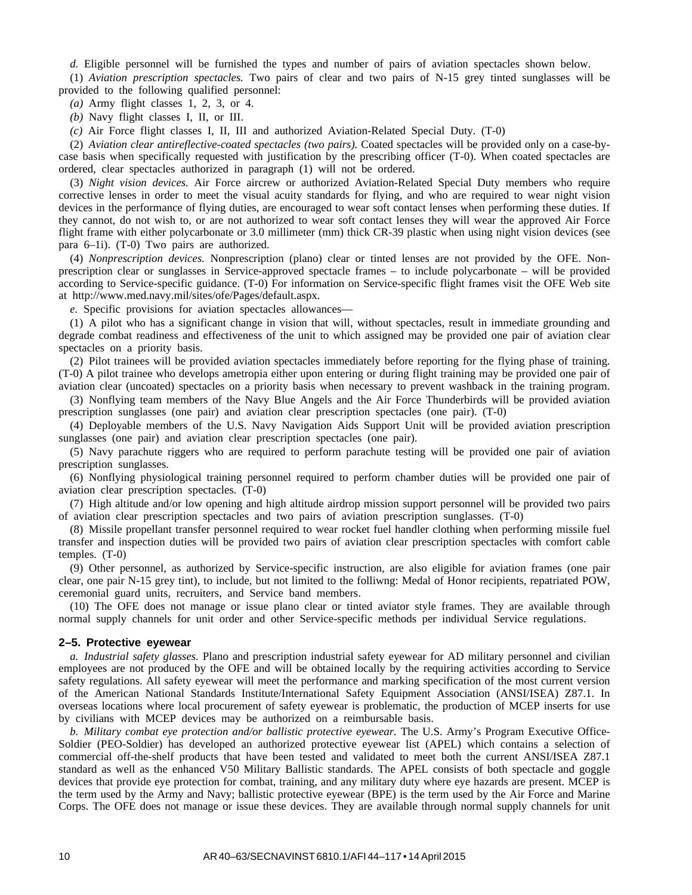*d.* Eligible personnel will be furnished the types and number of pairs of aviation spectacles shown below.

(1) *Aviation prescription spectacles.* Two pairs of clear and two pairs of N-15 grey tinted sunglasses will be provided to the following qualified personnel:

*(a)* Army flight classes 1, 2, 3, or 4.

*(b)* Navy flight classes I, II, or III.

*(c)* Air Force flight classes I, II, III and authorized Aviation-Related Special Duty. (T-0)

(2) *Aviation clear antireflective-coated spectacles (two pairs).* Coated spectacles will be provided only on a case-bycase basis when specifically requested with justification by the prescribing officer (T-0). When coated spectacles are ordered, clear spectacles authorized in paragraph (1) will not be ordered.

(3) *Night vision devices.* Air Force aircrew or authorized Aviation-Related Special Duty members who require corrective lenses in order to meet the visual acuity standards for flying, and who are required to wear night vision devices in the performance of flying duties, are encouraged to wear soft contact lenses when performing these duties. If they cannot, do not wish to, or are not authorized to wear soft contact lenses they will wear the approved Air Force flight frame with either polycarbonate or 3.0 millimeter (mm) thick CR-39 plastic when using night vision devices (see para 6–1i). (T-0) Two pairs are authorized.

(4) *Nonprescription devices.* Nonprescription (plano) clear or tinted lenses are not provided by the OFE. Nonprescription clear or sunglasses in Service-approved spectacle frames – to include polycarbonate – will be provided according to Service-specific guidance. (T-0) For information on Service-specific flight frames visit the OFE Web site at http://www.med.navy.mil/sites/ofe/Pages/default.aspx.

*e.* Specific provisions for aviation spectacles allowances—

(1) A pilot who has a significant change in vision that will, without spectacles, result in immediate grounding and degrade combat readiness and effectiveness of the unit to which assigned may be provided one pair of aviation clear spectacles on a priority basis.

(2) Pilot trainees will be provided aviation spectacles immediately before reporting for the flying phase of training. (T-0) A pilot trainee who develops ametropia either upon entering or during flight training may be provided one pair of aviation clear (uncoated) spectacles on a priority basis when necessary to prevent washback in the training program.

(3) Nonflying team members of the Navy Blue Angels and the Air Force Thunderbirds will be provided aviation prescription sunglasses (one pair) and aviation clear prescription spectacles (one pair). (T-0)

(4) Deployable members of the U.S. Navy Navigation Aids Support Unit will be provided aviation prescription sunglasses (one pair) and aviation clear prescription spectacles (one pair).

(5) Navy parachute riggers who are required to perform parachute testing will be provided one pair of aviation prescription sunglasses.

(6) Nonflying physiological training personnel required to perform chamber duties will be provided one pair of aviation clear prescription spectacles. (T-0)

(7) High altitude and/or low opening and high altitude airdrop mission support personnel will be provided two pairs of aviation clear prescription spectacles and two pairs of aviation prescription sunglasses. (T-0)

(8) Missile propellant transfer personnel required to wear rocket fuel handler clothing when performing missile fuel transfer and inspection duties will be provided two pairs of aviation clear prescription spectacles with comfort cable temples. (T-0)

(9) Other personnel, as authorized by Service-specific instruction, are also eligible for aviation frames (one pair clear, one pair N-15 grey tint), to include, but not limited to the folliwng: Medal of Honor recipients, repatriated POW, ceremonial guard units, recruiters, and Service band members.

(10) The OFE does not manage or issue plano clear or tinted aviator style frames. They are available through normal supply channels for unit order and other Service-specific methods per individual Service regulations.

#### **2–5. Protective eyewear**

*a. Industrial safety glasses.* Plano and prescription industrial safety eyewear for AD military personnel and civilian employees are not produced by the OFE and will be obtained locally by the requiring activities according to Service safety regulations. All safety eyewear will meet the performance and marking specification of the most current version of the American National Standards Institute/International Safety Equipment Association (ANSI/ISEA) Z87.1. In overseas locations where local procurement of safety eyewear is problematic, the production of MCEP inserts for use by civilians with MCEP devices may be authorized on a reimbursable basis.

*b. Military combat eye protection and/or ballistic protective eyewear.* The U.S. Army's Program Executive Office-Soldier (PEO-Soldier) has developed an authorized protective eyewear list (APEL) which contains a selection of commercial off-the-shelf products that have been tested and validated to meet both the current ANSI/ISEA Z87.1 standard as well as the enhanced V50 Military Ballistic standards. The APEL consists of both spectacle and goggle devices that provide eye protection for combat, training, and any military duty where eye hazards are present. MCEP is the term used by the Army and Navy; ballistic protective eyewear (BPE) is the term used by the Air Force and Marine Corps. The OFE does not manage or issue these devices. They are available through normal supply channels for unit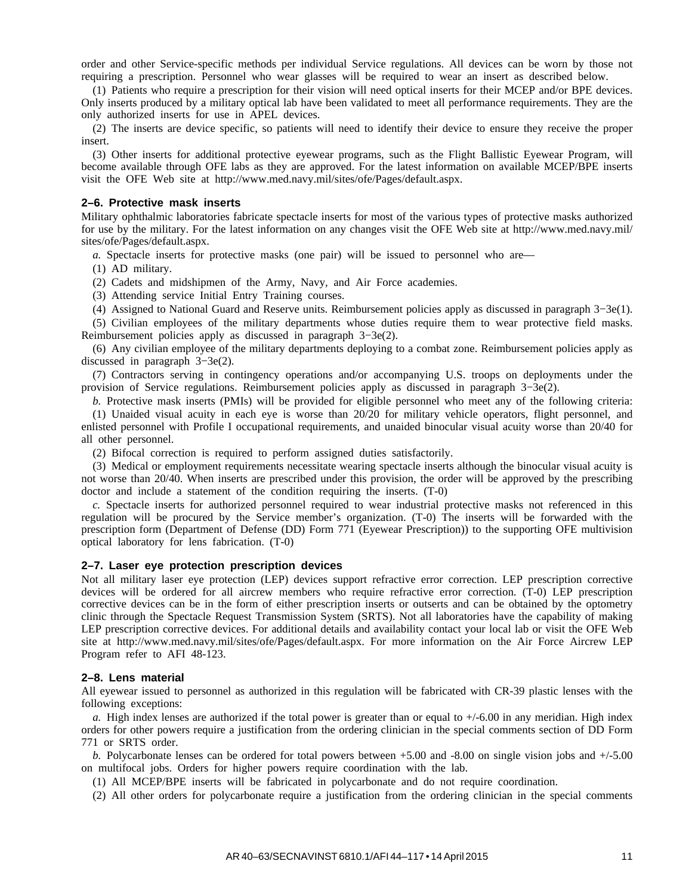order and other Service-specific methods per individual Service regulations. All devices can be worn by those not requiring a prescription. Personnel who wear glasses will be required to wear an insert as described below.

(1) Patients who require a prescription for their vision will need optical inserts for their MCEP and/or BPE devices. Only inserts produced by a military optical lab have been validated to meet all performance requirements. They are the only authorized inserts for use in APEL devices.

(2) The inserts are device specific, so patients will need to identify their device to ensure they receive the proper insert.

(3) Other inserts for additional protective eyewear programs, such as the Flight Ballistic Eyewear Program, will become available through OFE labs as they are approved. For the latest information on available MCEP/BPE inserts visit the OFE Web site at http://www.med.navy.mil/sites/ofe/Pages/default.aspx.

#### **2–6. Protective mask inserts**

Military ophthalmic laboratories fabricate spectacle inserts for most of the various types of protective masks authorized for use by the military. For the latest information on any changes visit the OFE Web site at http://www.med.navy.mil/ sites/ofe/Pages/default.aspx.

*a.* Spectacle inserts for protective masks (one pair) will be issued to personnel who are—

(1) AD military.

(2) Cadets and midshipmen of the Army, Navy, and Air Force academies.

(3) Attending service Initial Entry Training courses.

(4) Assigned to National Guard and Reserve units. Reimbursement policies apply as discussed in paragraph 3−3e(1).

(5) Civilian employees of the military departments whose duties require them to wear protective field masks. Reimbursement policies apply as discussed in paragraph 3−3e(2).

(6) Any civilian employee of the military departments deploying to a combat zone. Reimbursement policies apply as discussed in paragraph 3−3e(2).

(7) Contractors serving in contingency operations and/or accompanying U.S. troops on deployments under the provision of Service regulations. Reimbursement policies apply as discussed in paragraph 3−3e(2).

*b.* Protective mask inserts (PMIs) will be provided for eligible personnel who meet any of the following criteria: (1) Unaided visual acuity in each eye is worse than 20/20 for military vehicle operators, flight personnel, and enlisted personnel with Profile I occupational requirements, and unaided binocular visual acuity worse than 20/40 for all other personnel.

(2) Bifocal correction is required to perform assigned duties satisfactorily.

(3) Medical or employment requirements necessitate wearing spectacle inserts although the binocular visual acuity is not worse than 20/40. When inserts are prescribed under this provision, the order will be approved by the prescribing doctor and include a statement of the condition requiring the inserts. (T-0)

*c.* Spectacle inserts for authorized personnel required to wear industrial protective masks not referenced in this regulation will be procured by the Service member's organization. (T-0) The inserts will be forwarded with the prescription form (Department of Defense (DD) Form 771 (Eyewear Prescription)) to the supporting OFE multivision optical laboratory for lens fabrication. (T-0)

#### **2–7. Laser eye protection prescription devices**

Not all military laser eye protection (LEP) devices support refractive error correction. LEP prescription corrective devices will be ordered for all aircrew members who require refractive error correction. (T-0) LEP prescription corrective devices can be in the form of either prescription inserts or outserts and can be obtained by the optometry clinic through the Spectacle Request Transmission System (SRTS). Not all laboratories have the capability of making LEP prescription corrective devices. For additional details and availability contact your local lab or visit the OFE Web site at http://www.med.navy.mil/sites/ofe/Pages/default.aspx. For more information on the Air Force Aircrew LEP Program refer to AFI 48-123.

#### **2–8. Lens material**

All eyewear issued to personnel as authorized in this regulation will be fabricated with CR-39 plastic lenses with the following exceptions:

*a.* High index lenses are authorized if the total power is greater than or equal to +/-6.00 in any meridian. High index orders for other powers require a justification from the ordering clinician in the special comments section of DD Form 771 or SRTS order.

*b.* Polycarbonate lenses can be ordered for total powers between +5.00 and -8.00 on single vision jobs and +/-5.00 on multifocal jobs. Orders for higher powers require coordination with the lab.

(1) All MCEP/BPE inserts will be fabricated in polycarbonate and do not require coordination.

(2) All other orders for polycarbonate require a justification from the ordering clinician in the special comments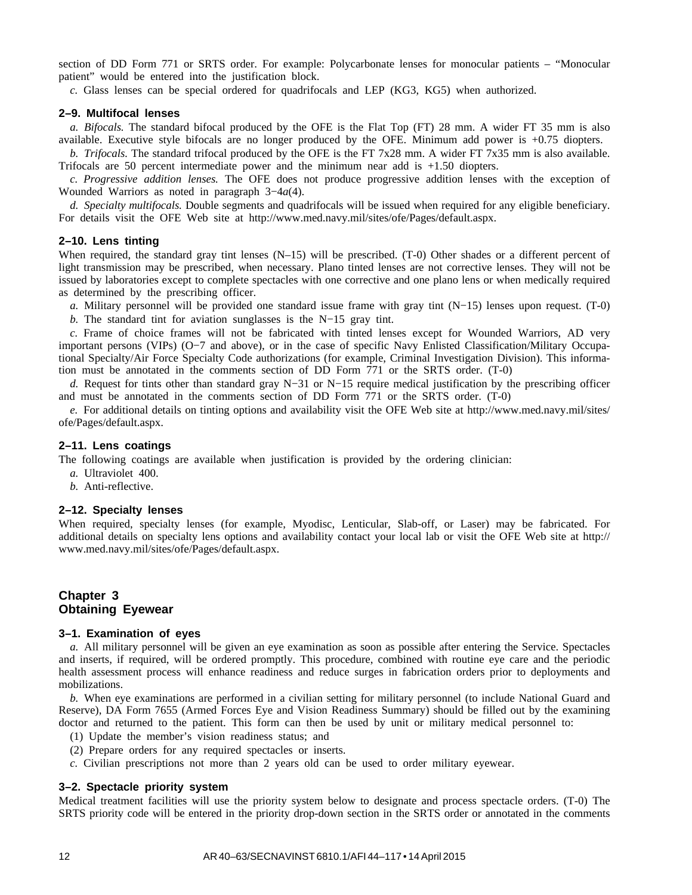section of DD Form 771 or SRTS order. For example: Polycarbonate lenses for monocular patients – "Monocular patient" would be entered into the justification block.

*c.* Glass lenses can be special ordered for quadrifocals and LEP (KG3, KG5) when authorized.

#### **2–9. Multifocal lenses**

*a. Bifocals.* The standard bifocal produced by the OFE is the Flat Top (FT) 28 mm. A wider FT 35 mm is also available. Executive style bifocals are no longer produced by the OFE. Minimum add power is +0.75 diopters.

*b. Trifocals.* The standard trifocal produced by the OFE is the FT 7x28 mm. A wider FT 7x35 mm is also available. Trifocals are 50 percent intermediate power and the minimum near add is +1.50 diopters.

*c. Progressive addition lenses.* The OFE does not produce progressive addition lenses with the exception of Wounded Warriors as noted in paragraph 3−4*a*(4).

*d. Specialty multifocals.* Double segments and quadrifocals will be issued when required for any eligible beneficiary. For details visit the OFE Web site at http://www.med.navy.mil/sites/ofe/Pages/default.aspx.

#### **2–10. Lens tinting**

When required, the standard gray tint lenses (N–15) will be prescribed. (T-0) Other shades or a different percent of light transmission may be prescribed, when necessary. Plano tinted lenses are not corrective lenses. They will not be issued by laboratories except to complete spectacles with one corrective and one plano lens or when medically required as determined by the prescribing officer.

*a.* Military personnel will be provided one standard issue frame with gray tint (N−15) lenses upon request. (T-0)

*b*. The standard tint for aviation sunglasses is the N−15 gray tint.

*c.* Frame of choice frames will not be fabricated with tinted lenses except for Wounded Warriors, AD very important persons (VIPs) (O−7 and above), or in the case of specific Navy Enlisted Classification/Military Occupational Specialty/Air Force Specialty Code authorizations (for example, Criminal Investigation Division). This information must be annotated in the comments section of DD Form 771 or the SRTS order. (T-0)

*d.* Request for tints other than standard gray N−31 or N−15 require medical justification by the prescribing officer and must be annotated in the comments section of DD Form 771 or the SRTS order. (T-0)

*e.* For additional details on tinting options and availability visit the OFE Web site at http://www.med.navy.mil/sites/ ofe/Pages/default.aspx.

#### **2–11. Lens coatings**

The following coatings are available when justification is provided by the ordering clinician:

- *a.* Ultraviolet 400.
- *b.* Anti-reflective.

#### **2–12. Specialty lenses**

When required, specialty lenses (for example, Myodisc, Lenticular, Slab-off, or Laser) may be fabricated. For additional details on specialty lens options and availability contact your local lab or visit the OFE Web site at http:// www.med.navy.mil/sites/ofe/Pages/default.aspx.

#### **Chapter 3 Obtaining Eyewear**

#### **3–1. Examination of eyes**

*a.* All military personnel will be given an eye examination as soon as possible after entering the Service. Spectacles and inserts, if required, will be ordered promptly. This procedure, combined with routine eye care and the periodic health assessment process will enhance readiness and reduce surges in fabrication orders prior to deployments and mobilizations.

*b.* When eye examinations are performed in a civilian setting for military personnel (to include National Guard and Reserve), DA Form 7655 (Armed Forces Eye and Vision Readiness Summary) should be filled out by the examining doctor and returned to the patient. This form can then be used by unit or military medical personnel to:

- (1) Update the member's vision readiness status; and
- (2) Prepare orders for any required spectacles or inserts.
- *c.* Civilian prescriptions not more than 2 years old can be used to order military eyewear.

#### **3–2. Spectacle priority system**

Medical treatment facilities will use the priority system below to designate and process spectacle orders. (T-0) The SRTS priority code will be entered in the priority drop-down section in the SRTS order or annotated in the comments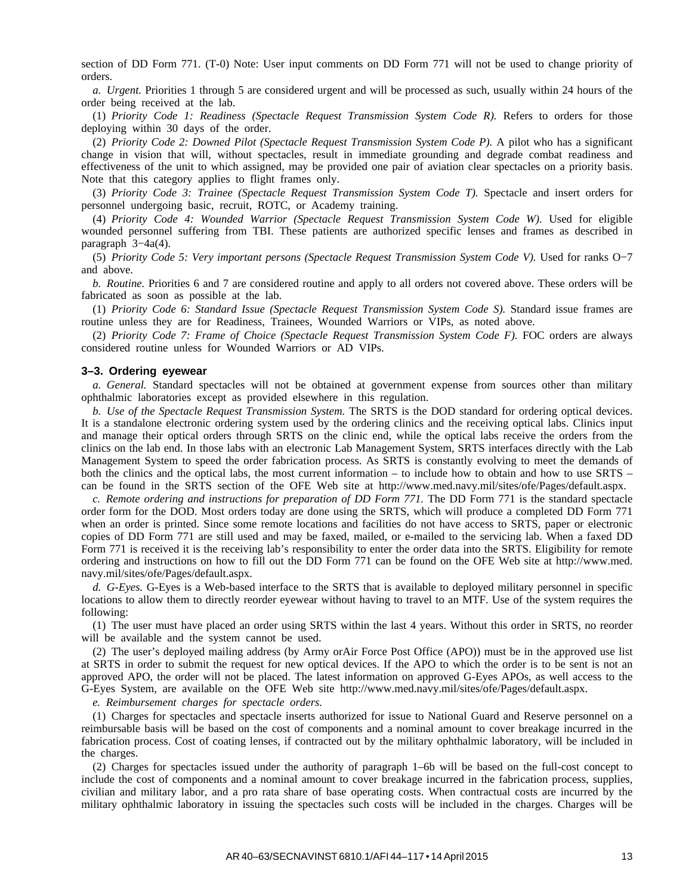section of DD Form 771. (T-0) Note: User input comments on DD Form 771 will not be used to change priority of orders.

*a. Urgent.* Priorities 1 through 5 are considered urgent and will be processed as such, usually within 24 hours of the order being received at the lab.

(1) *Priority Code 1: Readiness (Spectacle Request Transmission System Code R).* Refers to orders for those deploying within 30 days of the order.

(2) *Priority Code 2: Downed Pilot (Spectacle Request Transmission System Code P).* A pilot who has a significant change in vision that will, without spectacles, result in immediate grounding and degrade combat readiness and effectiveness of the unit to which assigned, may be provided one pair of aviation clear spectacles on a priority basis. Note that this category applies to flight frames only.

(3) *Priority Code 3: Trainee (Spectacle Request Transmission System Code T).* Spectacle and insert orders for personnel undergoing basic, recruit, ROTC, or Academy training.

(4) *Priority Code 4: Wounded Warrior (Spectacle Request Transmission System Code W)*. Used for eligible wounded personnel suffering from TBI. These patients are authorized specific lenses and frames as described in paragraph 3−4a(4).

(5) *Priority Code 5: Very important persons (Spectacle Request Transmission System Code V).* Used for ranks O−7 and above.

*b. Routine.* Priorities 6 and 7 are considered routine and apply to all orders not covered above. These orders will be fabricated as soon as possible at the lab.

(1) *Priority Code 6: Standard Issue (Spectacle Request Transmission System Code S).* Standard issue frames are routine unless they are for Readiness, Trainees, Wounded Warriors or VIPs, as noted above.

(2) *Priority Code 7: Frame of Choice (Spectacle Request Transmission System Code F).* FOC orders are always considered routine unless for Wounded Warriors or AD VIPs.

#### **3–3. Ordering eyewear**

*a. General.* Standard spectacles will not be obtained at government expense from sources other than military ophthalmic laboratories except as provided elsewhere in this regulation.

*b. Use of the Spectacle Request Transmission System.* The SRTS is the DOD standard for ordering optical devices. It is a standalone electronic ordering system used by the ordering clinics and the receiving optical labs. Clinics input and manage their optical orders through SRTS on the clinic end, while the optical labs receive the orders from the clinics on the lab end. In those labs with an electronic Lab Management System, SRTS interfaces directly with the Lab Management System to speed the order fabrication process. As SRTS is constantly evolving to meet the demands of both the clinics and the optical labs, the most current information – to include how to obtain and how to use SRTS – can be found in the SRTS section of the OFE Web site at http://www.med.navy.mil/sites/ofe/Pages/default.aspx.

*c. Remote ordering and instructions for preparation of DD Form 771.* The DD Form 771 is the standard spectacle order form for the DOD. Most orders today are done using the SRTS, which will produce a completed DD Form 771 when an order is printed. Since some remote locations and facilities do not have access to SRTS, paper or electronic copies of DD Form 771 are still used and may be faxed, mailed, or e-mailed to the servicing lab. When a faxed DD Form 771 is received it is the receiving lab's responsibility to enter the order data into the SRTS. Eligibility for remote ordering and instructions on how to fill out the DD Form 771 can be found on the OFE Web site at http://www.med. navy.mil/sites/ofe/Pages/default.aspx.

*d. G-Eyes.* G-Eyes is a Web-based interface to the SRTS that is available to deployed military personnel in specific locations to allow them to directly reorder eyewear without having to travel to an MTF. Use of the system requires the following:

(1) The user must have placed an order using SRTS within the last 4 years. Without this order in SRTS, no reorder will be available and the system cannot be used.

(2) The user's deployed mailing address (by Army orAir Force Post Office (APO)) must be in the approved use list at SRTS in order to submit the request for new optical devices. If the APO to which the order is to be sent is not an approved APO, the order will not be placed. The latest information on approved G-Eyes APOs, as well access to the G-Eyes System, are available on the OFE Web site http://www.med.navy.mil/sites/ofe/Pages/default.aspx.

*e. Reimbursement charges for spectacle orders.*

(1) Charges for spectacles and spectacle inserts authorized for issue to National Guard and Reserve personnel on a reimbursable basis will be based on the cost of components and a nominal amount to cover breakage incurred in the fabrication process. Cost of coating lenses, if contracted out by the military ophthalmic laboratory, will be included in the charges.

(2) Charges for spectacles issued under the authority of paragraph 1–6b will be based on the full-cost concept to include the cost of components and a nominal amount to cover breakage incurred in the fabrication process, supplies, civilian and military labor, and a pro rata share of base operating costs. When contractual costs are incurred by the military ophthalmic laboratory in issuing the spectacles such costs will be included in the charges. Charges will be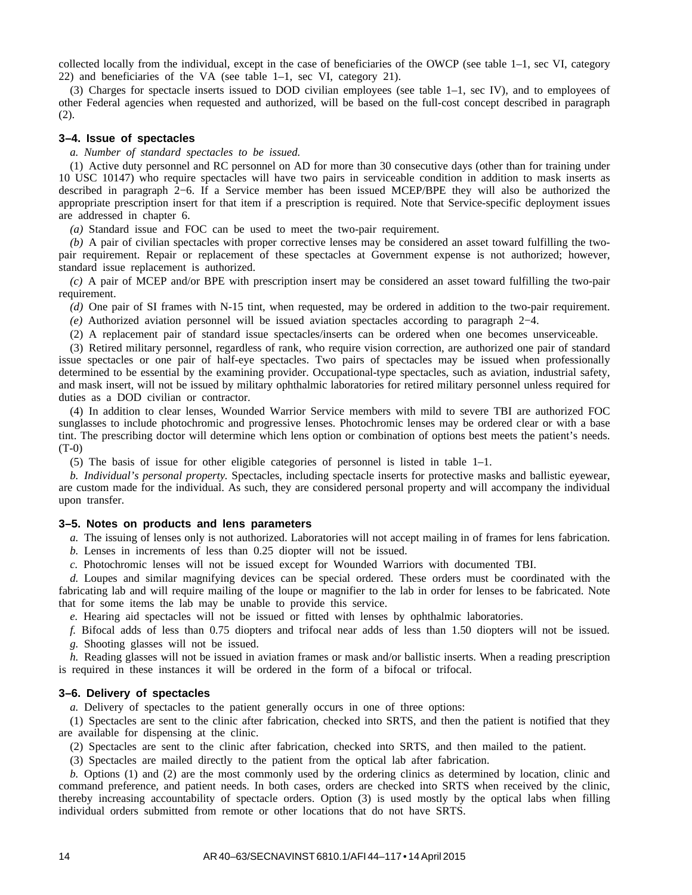collected locally from the individual, except in the case of beneficiaries of the OWCP (see table 1–1, sec VI, category 22) and beneficiaries of the VA (see table 1–1, sec VI, category 21).

(3) Charges for spectacle inserts issued to DOD civilian employees (see table 1–1, sec IV), and to employees of other Federal agencies when requested and authorized, will be based on the full-cost concept described in paragraph (2).

#### **3–4. Issue of spectacles**

*a. Number of standard spectacles to be issued.*

(1) Active duty personnel and RC personnel on AD for more than 30 consecutive days (other than for training under 10 USC 10147) who require spectacles will have two pairs in serviceable condition in addition to mask inserts as described in paragraph 2−6. If a Service member has been issued MCEP/BPE they will also be authorized the appropriate prescription insert for that item if a prescription is required. Note that Service-specific deployment issues are addressed in chapter 6.

*(a)* Standard issue and FOC can be used to meet the two-pair requirement.

*(b)* A pair of civilian spectacles with proper corrective lenses may be considered an asset toward fulfilling the twopair requirement. Repair or replacement of these spectacles at Government expense is not authorized; however, standard issue replacement is authorized.

*(c)* A pair of MCEP and/or BPE with prescription insert may be considered an asset toward fulfilling the two-pair requirement.

*(d)* One pair of SI frames with N-15 tint, when requested, may be ordered in addition to the two-pair requirement.

*(e)* Authorized aviation personnel will be issued aviation spectacles according to paragraph 2−4.

(2) A replacement pair of standard issue spectacles/inserts can be ordered when one becomes unserviceable.

(3) Retired military personnel, regardless of rank, who require vision correction, are authorized one pair of standard issue spectacles or one pair of half-eye spectacles. Two pairs of spectacles may be issued when professionally determined to be essential by the examining provider. Occupational-type spectacles, such as aviation, industrial safety, and mask insert, will not be issued by military ophthalmic laboratories for retired military personnel unless required for duties as a DOD civilian or contractor.

(4) In addition to clear lenses, Wounded Warrior Service members with mild to severe TBI are authorized FOC sunglasses to include photochromic and progressive lenses. Photochromic lenses may be ordered clear or with a base tint. The prescribing doctor will determine which lens option or combination of options best meets the patient's needs. (T-0)

(5) The basis of issue for other eligible categories of personnel is listed in table 1–1.

*b. Individual's personal property.* Spectacles, including spectacle inserts for protective masks and ballistic eyewear, are custom made for the individual. As such, they are considered personal property and will accompany the individual upon transfer.

#### **3–5. Notes on products and lens parameters**

*a.* The issuing of lenses only is not authorized. Laboratories will not accept mailing in of frames for lens fabrication.

*b.* Lenses in increments of less than 0.25 diopter will not be issued.

*c.* Photochromic lenses will not be issued except for Wounded Warriors with documented TBI.

*d.* Loupes and similar magnifying devices can be special ordered. These orders must be coordinated with the fabricating lab and will require mailing of the loupe or magnifier to the lab in order for lenses to be fabricated. Note that for some items the lab may be unable to provide this service.

*e.* Hearing aid spectacles will not be issued or fitted with lenses by ophthalmic laboratories.

*f.* Bifocal adds of less than 0.75 diopters and trifocal near adds of less than 1.50 diopters will not be issued. *g.* Shooting glasses will not be issued.

*h.* Reading glasses will not be issued in aviation frames or mask and/or ballistic inserts. When a reading prescription is required in these instances it will be ordered in the form of a bifocal or trifocal.

#### **3–6. Delivery of spectacles**

*a.* Delivery of spectacles to the patient generally occurs in one of three options:

(1) Spectacles are sent to the clinic after fabrication, checked into SRTS, and then the patient is notified that they are available for dispensing at the clinic.

(2) Spectacles are sent to the clinic after fabrication, checked into SRTS, and then mailed to the patient.

(3) Spectacles are mailed directly to the patient from the optical lab after fabrication.

*b.* Options (1) and (2) are the most commonly used by the ordering clinics as determined by location, clinic and command preference, and patient needs. In both cases, orders are checked into SRTS when received by the clinic, thereby increasing accountability of spectacle orders. Option (3) is used mostly by the optical labs when filling individual orders submitted from remote or other locations that do not have SRTS.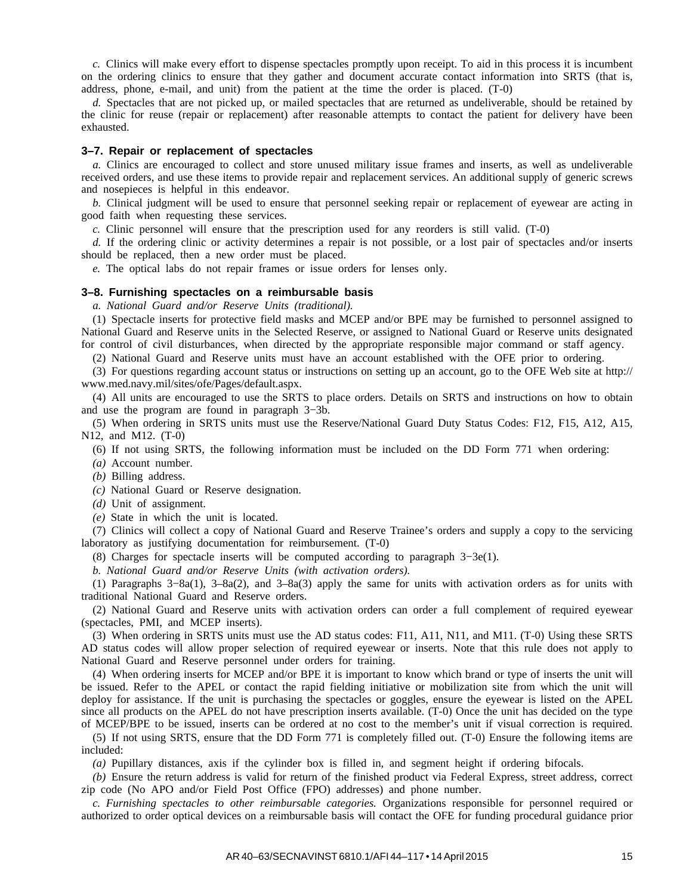*c.* Clinics will make every effort to dispense spectacles promptly upon receipt. To aid in this process it is incumbent on the ordering clinics to ensure that they gather and document accurate contact information into SRTS (that is, address, phone, e-mail, and unit) from the patient at the time the order is placed. (T-0)

*d.* Spectacles that are not picked up, or mailed spectacles that are returned as undeliverable, should be retained by the clinic for reuse (repair or replacement) after reasonable attempts to contact the patient for delivery have been exhausted.

#### **3–7. Repair or replacement of spectacles**

*a.* Clinics are encouraged to collect and store unused military issue frames and inserts, as well as undeliverable received orders, and use these items to provide repair and replacement services. An additional supply of generic screws and nosepieces is helpful in this endeavor.

*b.* Clinical judgment will be used to ensure that personnel seeking repair or replacement of eyewear are acting in good faith when requesting these services.

*c.* Clinic personnel will ensure that the prescription used for any reorders is still valid. (T-0)

*d.* If the ordering clinic or activity determines a repair is not possible, or a lost pair of spectacles and/or inserts should be replaced, then a new order must be placed.

*e.* The optical labs do not repair frames or issue orders for lenses only.

#### **3–8. Furnishing spectacles on a reimbursable basis**

*a. National Guard and/or Reserve Units (traditional).*

(1) Spectacle inserts for protective field masks and MCEP and/or BPE may be furnished to personnel assigned to National Guard and Reserve units in the Selected Reserve, or assigned to National Guard or Reserve units designated for control of civil disturbances, when directed by the appropriate responsible major command or staff agency.

(2) National Guard and Reserve units must have an account established with the OFE prior to ordering.

(3) For questions regarding account status or instructions on setting up an account, go to the OFE Web site at http:// www.med.navy.mil/sites/ofe/Pages/default.aspx.

(4) All units are encouraged to use the SRTS to place orders. Details on SRTS and instructions on how to obtain and use the program are found in paragraph 3−3b.

(5) When ordering in SRTS units must use the Reserve/National Guard Duty Status Codes: F12, F15, A12, A15, N12, and M12. (T-0)

(6) If not using SRTS, the following information must be included on the DD Form 771 when ordering:

*(a)* Account number.

*(b)* Billing address.

*(c)* National Guard or Reserve designation.

*(d)* Unit of assignment.

*(e)* State in which the unit is located.

(7) Clinics will collect a copy of National Guard and Reserve Trainee's orders and supply a copy to the servicing laboratory as justifying documentation for reimbursement. (T-0)

(8) Charges for spectacle inserts will be computed according to paragraph 3−3e(1).

*b. National Guard and/or Reserve Units (with activation orders).*

(1) Paragraphs 3−8a(1), 3–8a(2), and 3–8a(3) apply the same for units with activation orders as for units with traditional National Guard and Reserve orders.

(2) National Guard and Reserve units with activation orders can order a full complement of required eyewear (spectacles, PMI, and MCEP inserts).

(3) When ordering in SRTS units must use the AD status codes: F11, A11, N11, and M11. (T-0) Using these SRTS AD status codes will allow proper selection of required eyewear or inserts. Note that this rule does not apply to National Guard and Reserve personnel under orders for training.

(4) When ordering inserts for MCEP and/or BPE it is important to know which brand or type of inserts the unit will be issued. Refer to the APEL or contact the rapid fielding initiative or mobilization site from which the unit will deploy for assistance. If the unit is purchasing the spectacles or goggles, ensure the eyewear is listed on the APEL since all products on the APEL do not have prescription inserts available. (T-0) Once the unit has decided on the type of MCEP/BPE to be issued, inserts can be ordered at no cost to the member's unit if visual correction is required.

(5) If not using SRTS, ensure that the DD Form 771 is completely filled out. (T-0) Ensure the following items are included:

*(a)* Pupillary distances, axis if the cylinder box is filled in, and segment height if ordering bifocals.

*(b)* Ensure the return address is valid for return of the finished product via Federal Express, street address, correct zip code (No APO and/or Field Post Office (FPO) addresses) and phone number.

*c. Furnishing spectacles to other reimbursable categories.* Organizations responsible for personnel required or authorized to order optical devices on a reimbursable basis will contact the OFE for funding procedural guidance prior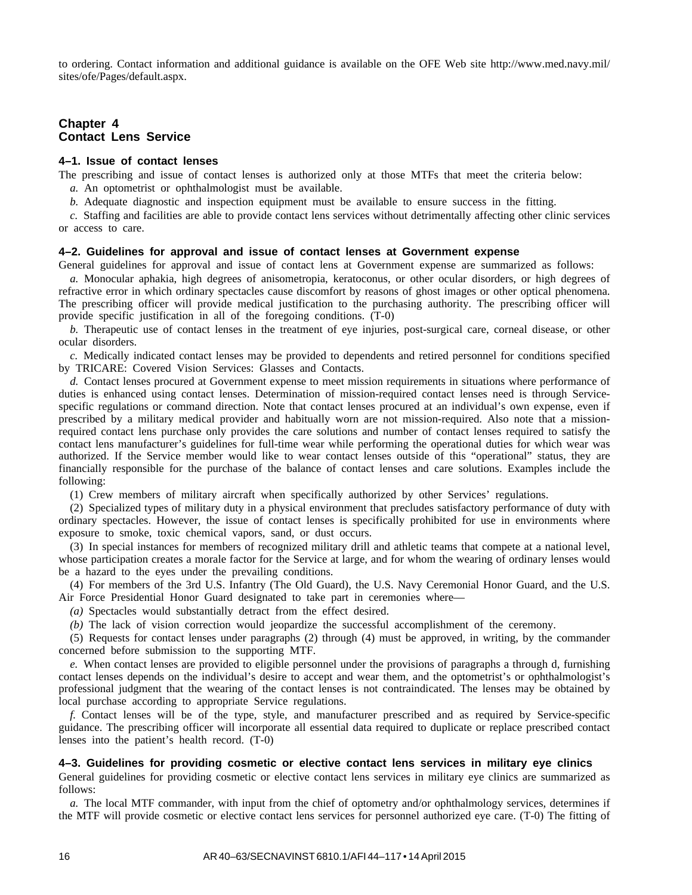to ordering. Contact information and additional guidance is available on the OFE Web site http://www.med.navy.mil/ sites/ofe/Pages/default.aspx.

# **Chapter 4 Contact Lens Service**

#### **4–1. Issue of contact lenses**

The prescribing and issue of contact lenses is authorized only at those MTFs that meet the criteria below:

- *a.* An optometrist or ophthalmologist must be available.
- *b.* Adequate diagnostic and inspection equipment must be available to ensure success in the fitting.

*c.* Staffing and facilities are able to provide contact lens services without detrimentally affecting other clinic services or access to care.

#### **4–2. Guidelines for approval and issue of contact lenses at Government expense**

General guidelines for approval and issue of contact lens at Government expense are summarized as follows:

*a.* Monocular aphakia, high degrees of anisometropia, keratoconus, or other ocular disorders, or high degrees of refractive error in which ordinary spectacles cause discomfort by reasons of ghost images or other optical phenomena. The prescribing officer will provide medical justification to the purchasing authority. The prescribing officer will provide specific justification in all of the foregoing conditions. (T-0)

*b.* Therapeutic use of contact lenses in the treatment of eye injuries, post-surgical care, corneal disease, or other ocular disorders.

*c.* Medically indicated contact lenses may be provided to dependents and retired personnel for conditions specified by TRICARE: Covered Vision Services: Glasses and Contacts.

*d.* Contact lenses procured at Government expense to meet mission requirements in situations where performance of duties is enhanced using contact lenses. Determination of mission-required contact lenses need is through Servicespecific regulations or command direction. Note that contact lenses procured at an individual's own expense, even if prescribed by a military medical provider and habitually worn are not mission-required. Also note that a missionrequired contact lens purchase only provides the care solutions and number of contact lenses required to satisfy the contact lens manufacturer's guidelines for full-time wear while performing the operational duties for which wear was authorized. If the Service member would like to wear contact lenses outside of this "operational" status, they are financially responsible for the purchase of the balance of contact lenses and care solutions. Examples include the following:

(1) Crew members of military aircraft when specifically authorized by other Services' regulations.

(2) Specialized types of military duty in a physical environment that precludes satisfactory performance of duty with ordinary spectacles. However, the issue of contact lenses is specifically prohibited for use in environments where exposure to smoke, toxic chemical vapors, sand, or dust occurs.

(3) In special instances for members of recognized military drill and athletic teams that compete at a national level, whose participation creates a morale factor for the Service at large, and for whom the wearing of ordinary lenses would be a hazard to the eyes under the prevailing conditions.

(4) For members of the 3rd U.S. Infantry (The Old Guard), the U.S. Navy Ceremonial Honor Guard, and the U.S. Air Force Presidential Honor Guard designated to take part in ceremonies where—

*(a)* Spectacles would substantially detract from the effect desired.

*(b)* The lack of vision correction would jeopardize the successful accomplishment of the ceremony.

(5) Requests for contact lenses under paragraphs (2) through (4) must be approved, in writing, by the commander concerned before submission to the supporting MTF.

*e.* When contact lenses are provided to eligible personnel under the provisions of paragraphs a through d, furnishing contact lenses depends on the individual's desire to accept and wear them, and the optometrist's or ophthalmologist's professional judgment that the wearing of the contact lenses is not contraindicated. The lenses may be obtained by local purchase according to appropriate Service regulations.

*f.* Contact lenses will be of the type, style, and manufacturer prescribed and as required by Service-specific guidance. The prescribing officer will incorporate all essential data required to duplicate or replace prescribed contact lenses into the patient's health record. (T-0)

#### **4–3. Guidelines for providing cosmetic or elective contact lens services in military eye clinics**

General guidelines for providing cosmetic or elective contact lens services in military eye clinics are summarized as follows:

*a.* The local MTF commander, with input from the chief of optometry and/or ophthalmology services, determines if the MTF will provide cosmetic or elective contact lens services for personnel authorized eye care. (T-0) The fitting of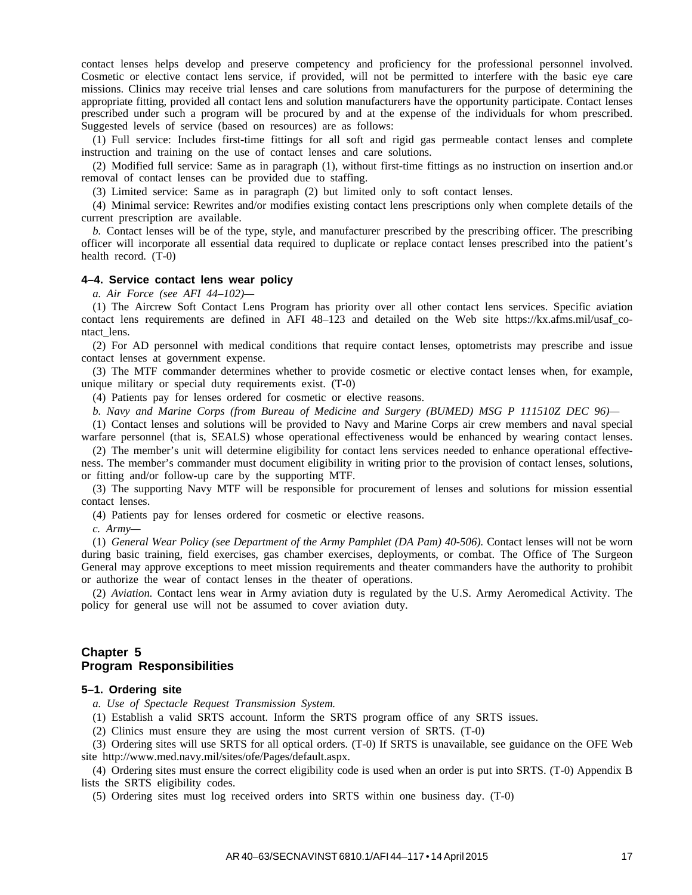contact lenses helps develop and preserve competency and proficiency for the professional personnel involved. Cosmetic or elective contact lens service, if provided, will not be permitted to interfere with the basic eye care missions. Clinics may receive trial lenses and care solutions from manufacturers for the purpose of determining the appropriate fitting, provided all contact lens and solution manufacturers have the opportunity participate. Contact lenses prescribed under such a program will be procured by and at the expense of the individuals for whom prescribed. Suggested levels of service (based on resources) are as follows:

(1) Full service: Includes first-time fittings for all soft and rigid gas permeable contact lenses and complete instruction and training on the use of contact lenses and care solutions.

(2) Modified full service: Same as in paragraph (1), without first-time fittings as no instruction on insertion and.or removal of contact lenses can be provided due to staffing.

(3) Limited service: Same as in paragraph (2) but limited only to soft contact lenses.

(4) Minimal service: Rewrites and/or modifies existing contact lens prescriptions only when complete details of the current prescription are available.

*b.* Contact lenses will be of the type, style, and manufacturer prescribed by the prescribing officer. The prescribing officer will incorporate all essential data required to duplicate or replace contact lenses prescribed into the patient's health record. (T-0)

#### **4–4. Service contact lens wear policy**

*a. Air Force (see AFI 44–102)—*

(1) The Aircrew Soft Contact Lens Program has priority over all other contact lens services. Specific aviation contact lens requirements are defined in AFI 48–123 and detailed on the Web site https://kx.afms.mil/usaf\_contact\_lens.

(2) For AD personnel with medical conditions that require contact lenses, optometrists may prescribe and issue contact lenses at government expense.

(3) The MTF commander determines whether to provide cosmetic or elective contact lenses when, for example, unique military or special duty requirements exist. (T-0)

(4) Patients pay for lenses ordered for cosmetic or elective reasons.

*b. Navy and Marine Corps (from Bureau of Medicine and Surgery (BUMED) MSG P 111510Z DEC 96)—*

(1) Contact lenses and solutions will be provided to Navy and Marine Corps air crew members and naval special warfare personnel (that is, SEALS) whose operational effectiveness would be enhanced by wearing contact lenses.

(2) The member's unit will determine eligibility for contact lens services needed to enhance operational effectiveness. The member's commander must document eligibility in writing prior to the provision of contact lenses, solutions, or fitting and/or follow-up care by the supporting MTF.

(3) The supporting Navy MTF will be responsible for procurement of lenses and solutions for mission essential contact lenses.

(4) Patients pay for lenses ordered for cosmetic or elective reasons.

*c. Army—*

(1) *General Wear Policy (see Department of the Army Pamphlet (DA Pam) 40-506).* Contact lenses will not be worn during basic training, field exercises, gas chamber exercises, deployments, or combat. The Office of The Surgeon General may approve exceptions to meet mission requirements and theater commanders have the authority to prohibit or authorize the wear of contact lenses in the theater of operations.

(2) *Aviation.* Contact lens wear in Army aviation duty is regulated by the U.S. Army Aeromedical Activity. The policy for general use will not be assumed to cover aviation duty.

#### **Chapter 5 Program Responsibilities**

#### **5–1. Ordering site**

*a. Use of Spectacle Request Transmission System.*

(1) Establish a valid SRTS account. Inform the SRTS program office of any SRTS issues.

(2) Clinics must ensure they are using the most current version of SRTS. (T-0)

(3) Ordering sites will use SRTS for all optical orders. (T-0) If SRTS is unavailable, see guidance on the OFE Web site http://www.med.navy.mil/sites/ofe/Pages/default.aspx.

(4) Ordering sites must ensure the correct eligibility code is used when an order is put into SRTS. (T-0) Appendix B lists the SRTS eligibility codes.

(5) Ordering sites must log received orders into SRTS within one business day. (T-0)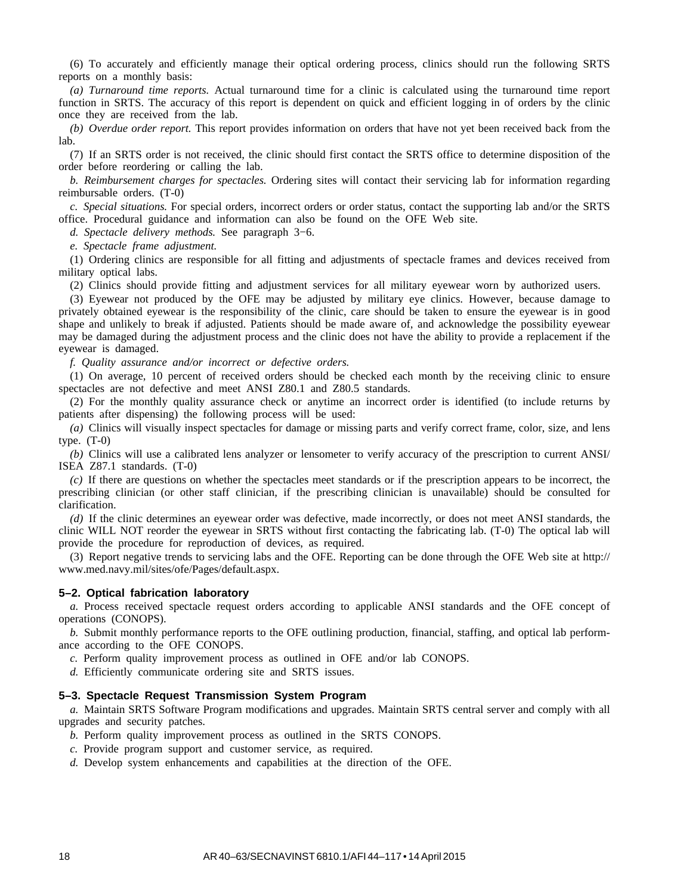(6) To accurately and efficiently manage their optical ordering process, clinics should run the following SRTS reports on a monthly basis:

*(a) Turnaround time reports.* Actual turnaround time for a clinic is calculated using the turnaround time report function in SRTS. The accuracy of this report is dependent on quick and efficient logging in of orders by the clinic once they are received from the lab.

*(b) Overdue order report.* This report provides information on orders that have not yet been received back from the lab.

(7) If an SRTS order is not received, the clinic should first contact the SRTS office to determine disposition of the order before reordering or calling the lab.

*b. Reimbursement charges for spectacles.* Ordering sites will contact their servicing lab for information regarding reimbursable orders. (T-0)

*c. Special situations.* For special orders, incorrect orders or order status, contact the supporting lab and/or the SRTS office. Procedural guidance and information can also be found on the OFE Web site.

*d. Spectacle delivery methods.* See paragraph 3−6.

*e. Spectacle frame adjustment.*

(1) Ordering clinics are responsible for all fitting and adjustments of spectacle frames and devices received from military optical labs.

(2) Clinics should provide fitting and adjustment services for all military eyewear worn by authorized users.

(3) Eyewear not produced by the OFE may be adjusted by military eye clinics. However, because damage to privately obtained eyewear is the responsibility of the clinic, care should be taken to ensure the eyewear is in good shape and unlikely to break if adjusted. Patients should be made aware of, and acknowledge the possibility eyewear may be damaged during the adjustment process and the clinic does not have the ability to provide a replacement if the eyewear is damaged.

*f. Quality assurance and/or incorrect or defective orders.*

(1) On average, 10 percent of received orders should be checked each month by the receiving clinic to ensure spectacles are not defective and meet ANSI Z80.1 and Z80.5 standards.

(2) For the monthly quality assurance check or anytime an incorrect order is identified (to include returns by patients after dispensing) the following process will be used:

*(a)* Clinics will visually inspect spectacles for damage or missing parts and verify correct frame, color, size, and lens type.  $(T-0)$ 

*(b)* Clinics will use a calibrated lens analyzer or lensometer to verify accuracy of the prescription to current ANSI/ ISEA Z87.1 standards. (T-0)

*(c)* If there are questions on whether the spectacles meet standards or if the prescription appears to be incorrect, the prescribing clinician (or other staff clinician, if the prescribing clinician is unavailable) should be consulted for clarification.

*(d)* If the clinic determines an eyewear order was defective, made incorrectly, or does not meet ANSI standards, the clinic WILL NOT reorder the eyewear in SRTS without first contacting the fabricating lab. (T-0) The optical lab will provide the procedure for reproduction of devices, as required.

(3) Report negative trends to servicing labs and the OFE. Reporting can be done through the OFE Web site at http:// www.med.navy.mil/sites/ofe/Pages/default.aspx.

#### **5–2. Optical fabrication laboratory**

*a.* Process received spectacle request orders according to applicable ANSI standards and the OFE concept of operations (CONOPS).

*b.* Submit monthly performance reports to the OFE outlining production, financial, staffing, and optical lab performance according to the OFE CONOPS.

*c.* Perform quality improvement process as outlined in OFE and/or lab CONOPS.

*d.* Efficiently communicate ordering site and SRTS issues.

#### **5–3. Spectacle Request Transmission System Program**

*a.* Maintain SRTS Software Program modifications and upgrades. Maintain SRTS central server and comply with all upgrades and security patches.

- *b.* Perform quality improvement process as outlined in the SRTS CONOPS.
- *c.* Provide program support and customer service, as required.
- *d.* Develop system enhancements and capabilities at the direction of the OFE.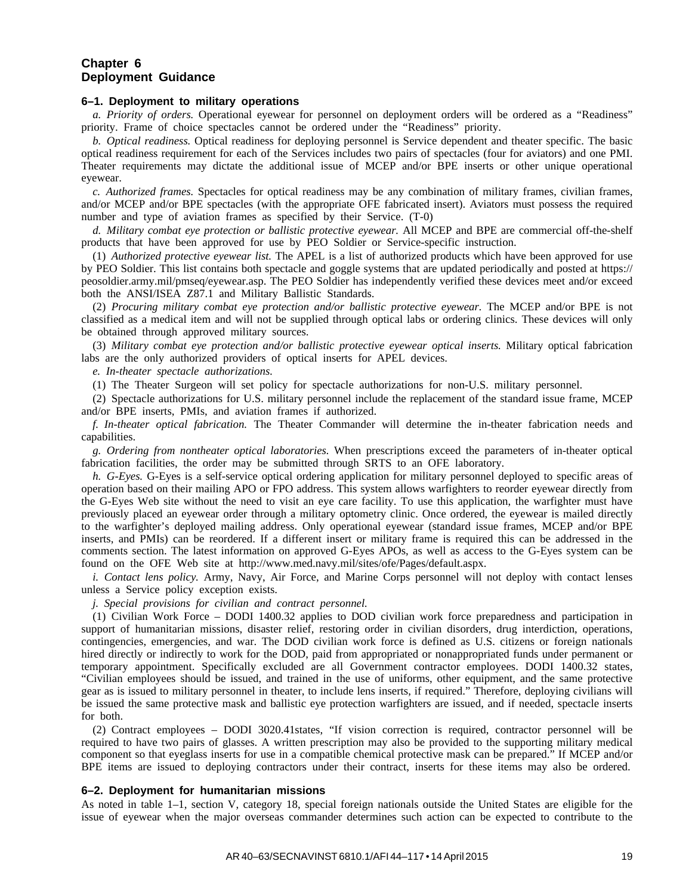#### **Chapter 6 Deployment Guidance**

#### **6–1. Deployment to military operations**

*a. Priority of orders.* Operational eyewear for personnel on deployment orders will be ordered as a "Readiness" priority. Frame of choice spectacles cannot be ordered under the "Readiness" priority.

*b. Optical readiness.* Optical readiness for deploying personnel is Service dependent and theater specific. The basic optical readiness requirement for each of the Services includes two pairs of spectacles (four for aviators) and one PMI. Theater requirements may dictate the additional issue of MCEP and/or BPE inserts or other unique operational eyewear.

*c. Authorized frames.* Spectacles for optical readiness may be any combination of military frames, civilian frames, and/or MCEP and/or BPE spectacles (with the appropriate OFE fabricated insert). Aviators must possess the required number and type of aviation frames as specified by their Service. (T-0)

*d. Military combat eye protection or ballistic protective eyewear.* All MCEP and BPE are commercial off-the-shelf products that have been approved for use by PEO Soldier or Service-specific instruction.

(1) *Authorized protective eyewear list.* The APEL is a list of authorized products which have been approved for use by PEO Soldier. This list contains both spectacle and goggle systems that are updated periodically and posted at https:// peosoldier.army.mil/pmseq/eyewear.asp. The PEO Soldier has independently verified these devices meet and/or exceed both the ANSI/ISEA Z87.1 and Military Ballistic Standards.

(2) *Procuring military combat eye protection and/or ballistic protective eyewear.* The MCEP and/or BPE is not classified as a medical item and will not be supplied through optical labs or ordering clinics. These devices will only be obtained through approved military sources.

(3) *Military combat eye protection and/or ballistic protective eyewear optical inserts.* Military optical fabrication labs are the only authorized providers of optical inserts for APEL devices.

*e. In-theater spectacle authorizations.*

(1) The Theater Surgeon will set policy for spectacle authorizations for non-U.S. military personnel.

(2) Spectacle authorizations for U.S. military personnel include the replacement of the standard issue frame, MCEP and/or BPE inserts, PMIs, and aviation frames if authorized.

*f. In-theater optical fabrication.* The Theater Commander will determine the in-theater fabrication needs and capabilities.

*g. Ordering from nontheater optical laboratories.* When prescriptions exceed the parameters of in-theater optical fabrication facilities, the order may be submitted through SRTS to an OFE laboratory.

*h. G-Eyes.* G-Eyes is a self-service optical ordering application for military personnel deployed to specific areas of operation based on their mailing APO or FPO address. This system allows warfighters to reorder eyewear directly from the G-Eyes Web site without the need to visit an eye care facility. To use this application, the warfighter must have previously placed an eyewear order through a military optometry clinic. Once ordered, the eyewear is mailed directly to the warfighter's deployed mailing address. Only operational eyewear (standard issue frames, MCEP and/or BPE inserts, and PMIs) can be reordered. If a different insert or military frame is required this can be addressed in the comments section. The latest information on approved G-Eyes APOs, as well as access to the G-Eyes system can be found on the OFE Web site at http://www.med.navy.mil/sites/ofe/Pages/default.aspx.

*i. Contact lens policy.* Army, Navy, Air Force, and Marine Corps personnel will not deploy with contact lenses unless a Service policy exception exists.

*j. Special provisions for civilian and contract personnel.*

(1) Civilian Work Force – DODI 1400.32 applies to DOD civilian work force preparedness and participation in support of humanitarian missions, disaster relief, restoring order in civilian disorders, drug interdiction, operations, contingencies, emergencies, and war. The DOD civilian work force is defined as U.S. citizens or foreign nationals hired directly or indirectly to work for the DOD, paid from appropriated or nonappropriated funds under permanent or temporary appointment. Specifically excluded are all Government contractor employees. DODI 1400.32 states, "Civilian employees should be issued, and trained in the use of uniforms, other equipment, and the same protective gear as is issued to military personnel in theater, to include lens inserts, if required." Therefore, deploying civilians will be issued the same protective mask and ballistic eye protection warfighters are issued, and if needed, spectacle inserts for both.

(2) Contract employees – DODI 3020.41states, "If vision correction is required, contractor personnel will be required to have two pairs of glasses. A written prescription may also be provided to the supporting military medical component so that eyeglass inserts for use in a compatible chemical protective mask can be prepared." If MCEP and/or BPE items are issued to deploying contractors under their contract, inserts for these items may also be ordered.

#### **6–2. Deployment for humanitarian missions**

As noted in table 1–1, section V, category 18, special foreign nationals outside the United States are eligible for the issue of eyewear when the major overseas commander determines such action can be expected to contribute to the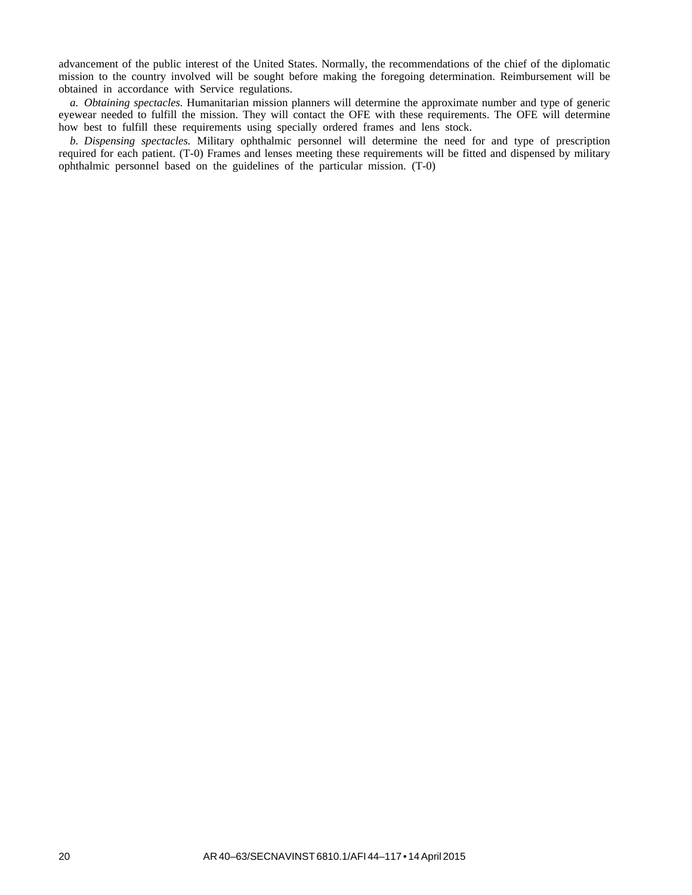advancement of the public interest of the United States. Normally, the recommendations of the chief of the diplomatic mission to the country involved will be sought before making the foregoing determination. Reimbursement will be obtained in accordance with Service regulations.

*a. Obtaining spectacles.* Humanitarian mission planners will determine the approximate number and type of generic eyewear needed to fulfill the mission. They will contact the OFE with these requirements. The OFE will determine how best to fulfill these requirements using specially ordered frames and lens stock.

*b. Dispensing spectacles.* Military ophthalmic personnel will determine the need for and type of prescription required for each patient. (T-0) Frames and lenses meeting these requirements will be fitted and dispensed by military ophthalmic personnel based on the guidelines of the particular mission. (T-0)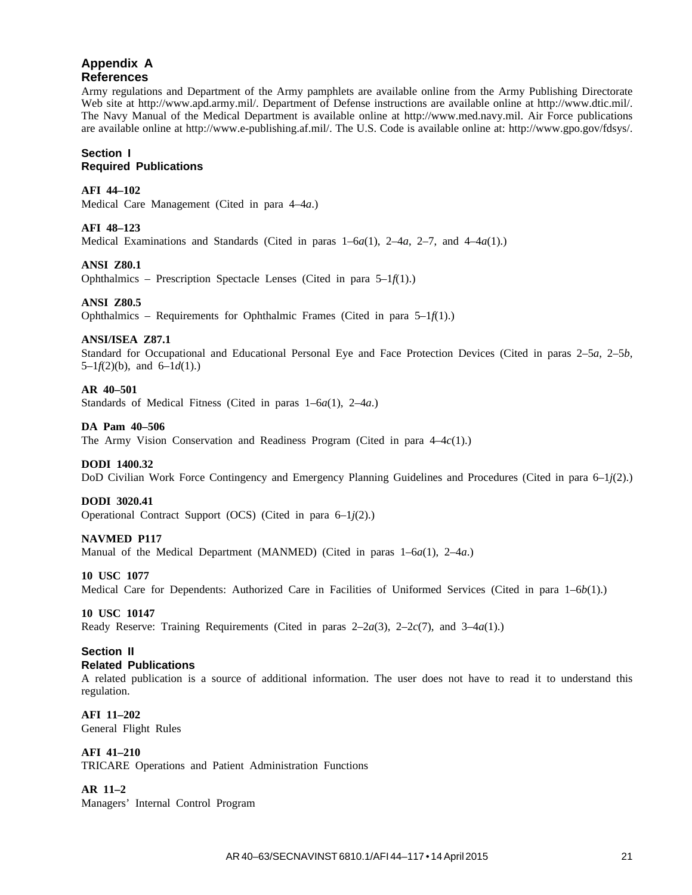# **Appendix A References**

Army regulations and Department of the Army pamphlets are available online from the Army Publishing Directorate Web site at http://www.apd.army.mil/. Department of Defense instructions are available online at http://www.dtic.mil/. The Navy Manual of the Medical Department is available online at http://www.med.navy.mil. Air Force publications are available online at http://www.e-publishing.af.mil/. The U.S. Code is available online at: http://www.gpo.gov/fdsys/.

#### **Section I Required Publications**

#### **AFI 44–102**

Medical Care Management (Cited in para 4–4*a*.)

#### **AFI 48–123**

Medical Examinations and Standards (Cited in paras 1–6*a*(1), 2–4*a*, 2–7, and 4–4*a*(1).)

#### **ANSI Z80.1**

Ophthalmics – Prescription Spectacle Lenses (Cited in para 5–1*f*(1).)

#### **ANSI Z80.5**

Ophthalmics – Requirements for Ophthalmic Frames (Cited in para 5–1*f*(1).)

#### **ANSI/ISEA Z87.1**

Standard for Occupational and Educational Personal Eye and Face Protection Devices (Cited in paras 2–5*a*, 2–5*b*, 5–1 $f(2)(b)$ , and 6–1 $d(1)$ .)

#### **AR 40–501**

Standards of Medical Fitness (Cited in paras 1–6*a*(1), 2–4*a*.)

#### **DA Pam 40–506**

The Army Vision Conservation and Readiness Program (Cited in para 4–4*c*(1).)

#### **DODI 1400.32**

DoD Civilian Work Force Contingency and Emergency Planning Guidelines and Procedures (Cited in para 6–1*j*(2).)

#### **DODI 3020.41**

Operational Contract Support (OCS) (Cited in para 6–1*j*(2).)

#### **NAVMED P117**

Manual of the Medical Department (MANMED) (Cited in paras 1–6*a*(1), 2–4*a*.)

#### **10 USC 1077**

Medical Care for Dependents: Authorized Care in Facilities of Uniformed Services (Cited in para 1–6*b*(1).)

#### **10 USC 10147**

Ready Reserve: Training Requirements (Cited in paras 2–2*a*(3), 2–2*c*(7), and 3–4*a*(1).)

#### **Section II Related Publications**

A related publication is a source of additional information. The user does not have to read it to understand this regulation.

**AFI 11–202** General Flight Rules

# **AFI 41–210**

TRICARE Operations and Patient Administration Functions

#### **AR 11–2**

Managers' Internal Control Program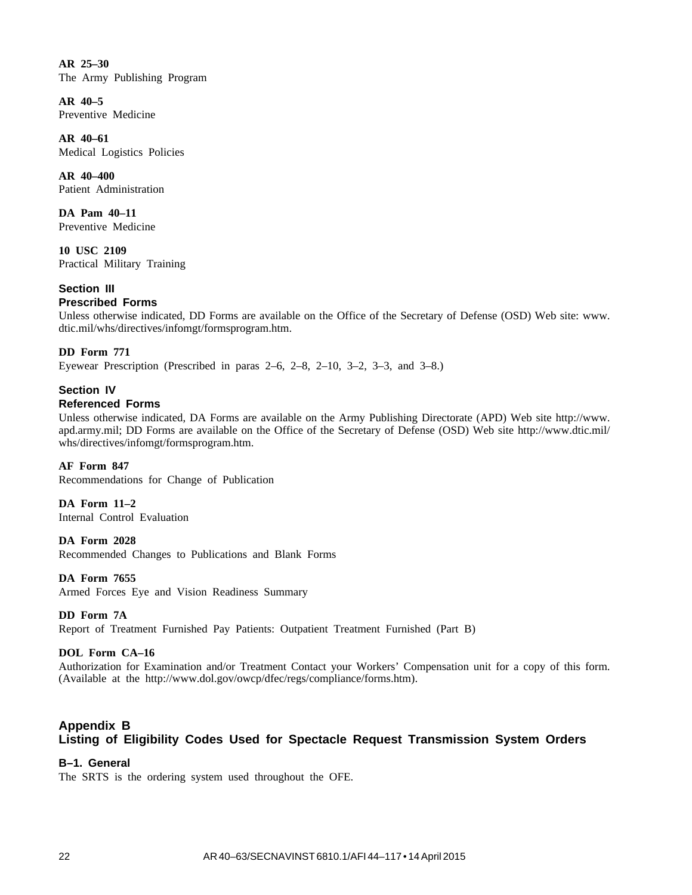**AR 25–30** The Army Publishing Program

**AR 40–5** Preventive Medicine

**AR 40–61** Medical Logistics Policies

**AR 40–400** Patient Administration

**DA Pam 40–11** Preventive Medicine

**10 USC 2109** Practical Military Training

**Section III**

# **Prescribed Forms**

Unless otherwise indicated, DD Forms are available on the Office of the Secretary of Defense (OSD) Web site: www. dtic.mil/whs/directives/infomgt/formsprogram.htm.

# **DD Form 771**

Eyewear Prescription (Prescribed in paras 2–6, 2–8, 2–10, 3–2, 3–3, and 3–8.)

# **Section IV Referenced Forms**

Unless otherwise indicated, DA Forms are available on the Army Publishing Directorate (APD) Web site http://www. apd.army.mil; DD Forms are available on the Office of the Secretary of Defense (OSD) Web site http://www.dtic.mil/ whs/directives/infomgt/formsprogram.htm.

#### **AF Form 847**

Recommendations for Change of Publication

**DA Form 11–2**

Internal Control Evaluation

**DA Form 2028**

Recommended Changes to Publications and Blank Forms

#### **DA Form 7655**

Armed Forces Eye and Vision Readiness Summary

#### **DD Form 7A**

Report of Treatment Furnished Pay Patients: Outpatient Treatment Furnished (Part B)

# **DOL Form CA–16**

Authorization for Examination and/or Treatment Contact your Workers' Compensation unit for a copy of this form. (Available at the http://www.dol.gov/owcp/dfec/regs/compliance/forms.htm).

# **Appendix B Listing of Eligibility Codes Used for Spectacle Request Transmission System Orders**

# **B–1. General**

The SRTS is the ordering system used throughout the OFE.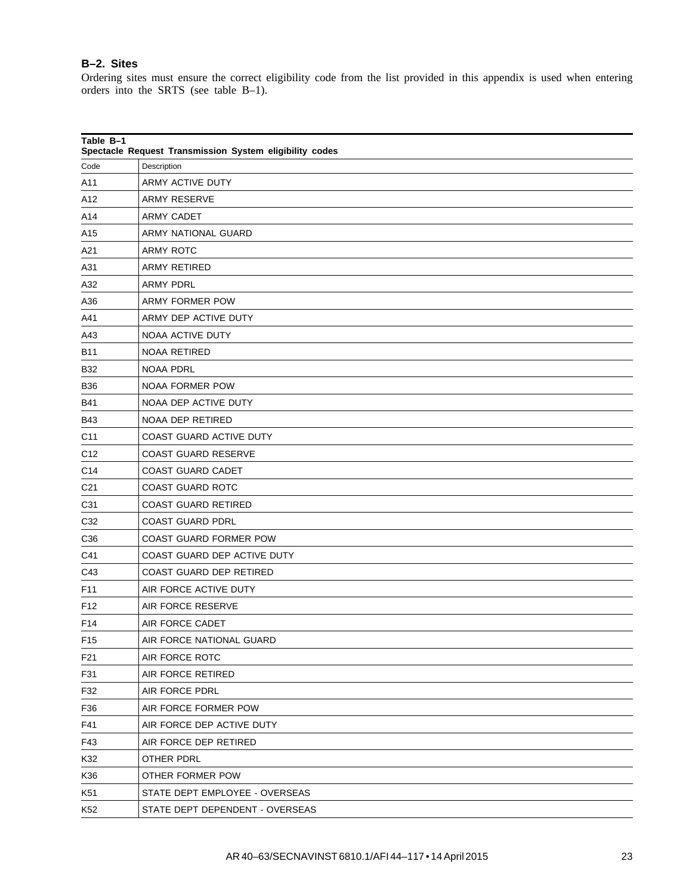# **B–2. Sites**

Ordering sites must ensure the correct eligibility code from the list provided in this appendix is used when entering orders into the SRTS (see table B–1).

| Table B-1<br>Spectacle Request Transmission System eligibility codes |                                 |  |
|----------------------------------------------------------------------|---------------------------------|--|
| Code                                                                 | Description                     |  |
| A11                                                                  | ARMY ACTIVE DUTY                |  |
| A12                                                                  | <b>ARMY RESERVE</b>             |  |
| A14                                                                  | <b>ARMY CADET</b>               |  |
| A15                                                                  | ARMY NATIONAL GUARD             |  |
| A21                                                                  | <b>ARMY ROTC</b>                |  |
| A31                                                                  | ARMY RETIRED                    |  |
| A32                                                                  | <b>ARMY PDRL</b>                |  |
| A36                                                                  | <b>ARMY FORMER POW</b>          |  |
| A41                                                                  | ARMY DEP ACTIVE DUTY            |  |
| A43                                                                  | NOAA ACTIVE DUTY                |  |
| <b>B11</b>                                                           | NOAA RETIRED                    |  |
| <b>B32</b>                                                           | <b>NOAA PDRL</b>                |  |
| <b>B36</b>                                                           | <b>NOAA FORMER POW</b>          |  |
| <b>B41</b>                                                           | <b>NOAA DEP ACTIVE DUTY</b>     |  |
| <b>B43</b>                                                           | NOAA DEP RETIRED                |  |
| C <sub>11</sub>                                                      | <b>COAST GUARD ACTIVE DUTY</b>  |  |
| C <sub>12</sub>                                                      | <b>COAST GUARD RESERVE</b>      |  |
| C14                                                                  | <b>COAST GUARD CADET</b>        |  |
| C <sub>21</sub>                                                      | <b>COAST GUARD ROTC</b>         |  |
| C31                                                                  | <b>COAST GUARD RETIRED</b>      |  |
| C32                                                                  | <b>COAST GUARD PDRL</b>         |  |
| C <sub>36</sub>                                                      | <b>COAST GUARD FORMER POW</b>   |  |
| C41                                                                  | COAST GUARD DEP ACTIVE DUTY     |  |
| C43                                                                  | <b>COAST GUARD DEP RETIRED</b>  |  |
| F11                                                                  | AIR FORCE ACTIVE DUTY           |  |
| F12                                                                  | AIR FORCE RESERVE               |  |
| F14                                                                  | AIR FORCE CADET                 |  |
| F15                                                                  | AIR FORCE NATIONAL GUARD        |  |
| F21                                                                  | AIR FORCE ROTC                  |  |
| F31                                                                  | AIR FORCE RETIRED               |  |
| F32                                                                  | AIR FORCE PDRL                  |  |
| F36                                                                  | AIR FORCE FORMER POW            |  |
| F41                                                                  | AIR FORCE DEP ACTIVE DUTY       |  |
| F43                                                                  | AIR FORCE DEP RETIRED           |  |
| K32                                                                  | OTHER PDRL                      |  |
| K36                                                                  | OTHER FORMER POW                |  |
| K51                                                                  | STATE DEPT EMPLOYEE - OVERSEAS  |  |
| K52                                                                  | STATE DEPT DEPENDENT - OVERSEAS |  |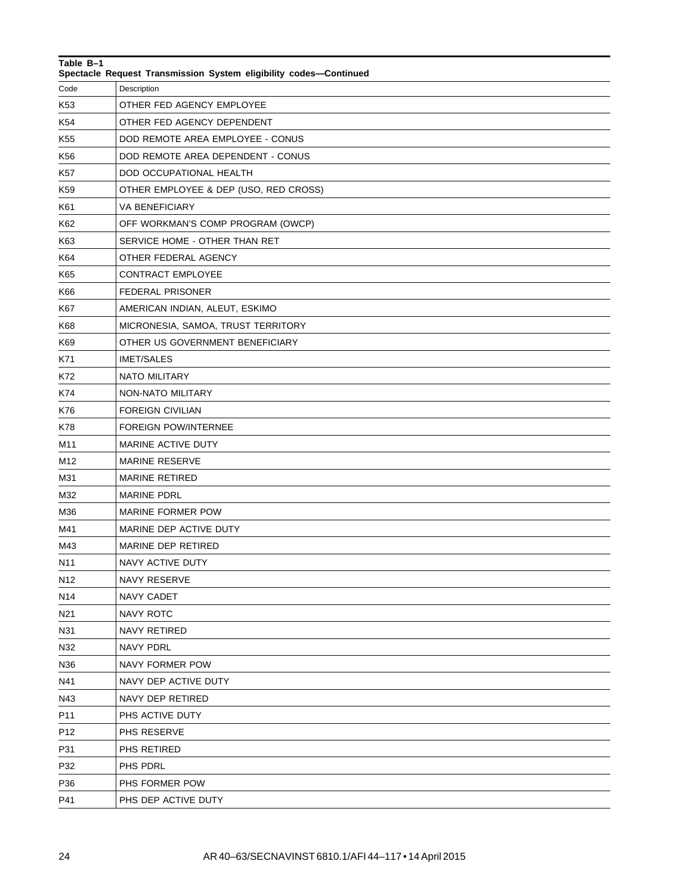| Table B-1<br>Spectacle Request Transmission System eligibility codes-Continued |                                       |
|--------------------------------------------------------------------------------|---------------------------------------|
| Code                                                                           | Description                           |
| K53                                                                            | OTHER FED AGENCY EMPLOYEE             |
| K54                                                                            | OTHER FED AGENCY DEPENDENT            |
| K55                                                                            | DOD REMOTE AREA EMPLOYEE - CONUS      |
| K56                                                                            | DOD REMOTE AREA DEPENDENT - CONUS     |
| K57                                                                            | DOD OCCUPATIONAL HEALTH               |
| K59                                                                            | OTHER EMPLOYEE & DEP (USO, RED CROSS) |
| K61                                                                            | <b>VA BENEFICIARY</b>                 |
| K62                                                                            | OFF WORKMAN'S COMP PROGRAM (OWCP)     |
| K63                                                                            | SERVICE HOME - OTHER THAN RET         |
| K64                                                                            | OTHER FEDERAL AGENCY                  |
| K65                                                                            | <b>CONTRACT EMPLOYEE</b>              |
| K66                                                                            | <b>FEDERAL PRISONER</b>               |
| K67                                                                            | AMERICAN INDIAN, ALEUT, ESKIMO        |
| K68                                                                            | MICRONESIA, SAMOA, TRUST TERRITORY    |
| K69                                                                            | OTHER US GOVERNMENT BENEFICIARY       |
| K71                                                                            | <b>IMET/SALES</b>                     |
| K72                                                                            | <b>NATO MILITARY</b>                  |
| K74                                                                            | NON-NATO MILITARY                     |
| K76                                                                            | <b>FOREIGN CIVILIAN</b>               |
| K78                                                                            | <b>FOREIGN POW/INTERNEE</b>           |
| M11                                                                            | MARINE ACTIVE DUTY                    |
| M12                                                                            | <b>MARINE RESERVE</b>                 |
| M31                                                                            | <b>MARINE RETIRED</b>                 |
| M32                                                                            | <b>MARINE PDRL</b>                    |
| M36                                                                            | <b>MARINE FORMER POW</b>              |
| M41                                                                            | MARINE DEP ACTIVE DUTY                |
| M43                                                                            | MARINE DEP RETIRED                    |
| N11                                                                            | NAVY ACTIVE DUTY                      |
| N12                                                                            | NAVY RESERVE                          |
| N14                                                                            | NAVY CADET                            |
| N21                                                                            | <b>NAVY ROTC</b>                      |
| N31                                                                            | NAVY RETIRED                          |
| N32                                                                            | <b>NAVY PDRL</b>                      |
| N36                                                                            | NAVY FORMER POW                       |
| N41                                                                            | NAVY DEP ACTIVE DUTY                  |
| N43                                                                            | NAVY DEP RETIRED                      |
| P11                                                                            | PHS ACTIVE DUTY                       |
| P12                                                                            | PHS RESERVE                           |
| P31                                                                            | PHS RETIRED                           |
| P32                                                                            | PHS PDRL                              |
| P36                                                                            | PHS FORMER POW                        |
| P41                                                                            | PHS DEP ACTIVE DUTY                   |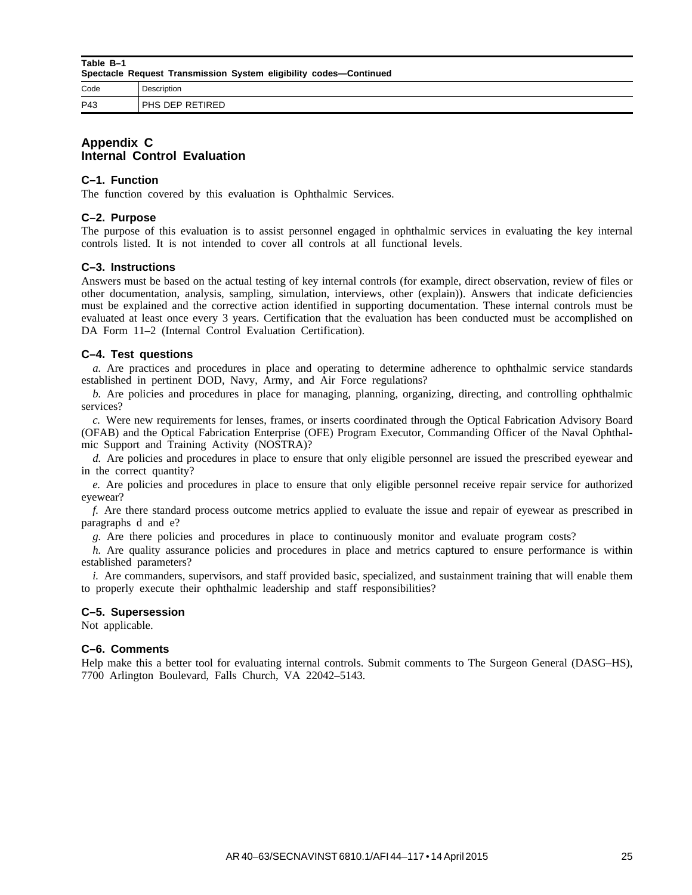**Table B–1 Spectacle Request Transmission System eligibility codes—Continued**

| Code | Description                        |
|------|------------------------------------|
| P43  | <b>DUC</b><br>⊬⊨ل<br>15 F I<br>ن ا |

# **Appendix C Internal Control Evaluation**

# **C–1. Function**

The function covered by this evaluation is Ophthalmic Services.

# **C–2. Purpose**

The purpose of this evaluation is to assist personnel engaged in ophthalmic services in evaluating the key internal controls listed. It is not intended to cover all controls at all functional levels.

# **C–3. Instructions**

Answers must be based on the actual testing of key internal controls (for example, direct observation, review of files or other documentation, analysis, sampling, simulation, interviews, other (explain)). Answers that indicate deficiencies must be explained and the corrective action identified in supporting documentation. These internal controls must be evaluated at least once every 3 years. Certification that the evaluation has been conducted must be accomplished on DA Form 11–2 (Internal Control Evaluation Certification).

#### **C–4. Test questions**

*a.* Are practices and procedures in place and operating to determine adherence to ophthalmic service standards established in pertinent DOD, Navy, Army, and Air Force regulations?

*b.* Are policies and procedures in place for managing, planning, organizing, directing, and controlling ophthalmic services?

*c.* Were new requirements for lenses, frames, or inserts coordinated through the Optical Fabrication Advisory Board (OFAB) and the Optical Fabrication Enterprise (OFE) Program Executor, Commanding Officer of the Naval Ophthalmic Support and Training Activity (NOSTRA)?

*d.* Are policies and procedures in place to ensure that only eligible personnel are issued the prescribed eyewear and in the correct quantity?

*e.* Are policies and procedures in place to ensure that only eligible personnel receive repair service for authorized eyewear?

*f.* Are there standard process outcome metrics applied to evaluate the issue and repair of eyewear as prescribed in paragraphs d and e?

*g.* Are there policies and procedures in place to continuously monitor and evaluate program costs?

*h.* Are quality assurance policies and procedures in place and metrics captured to ensure performance is within established parameters?

*i.* Are commanders, supervisors, and staff provided basic, specialized, and sustainment training that will enable them to properly execute their ophthalmic leadership and staff responsibilities?

#### **C–5. Supersession**

Not applicable.

#### **C–6. Comments**

Help make this a better tool for evaluating internal controls. Submit comments to The Surgeon General (DASG–HS), 7700 Arlington Boulevard, Falls Church, VA 22042–5143.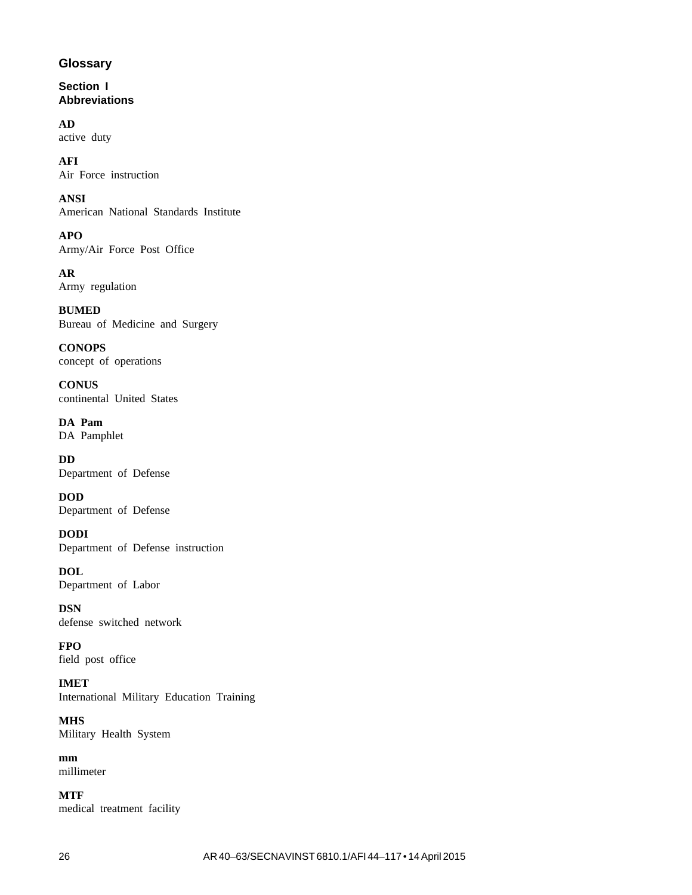# **Glossary**

**Section I Abbreviations**

**AD**

active duty

**AFI** Air Force instruction

**ANSI** American National Standards Institute

**APO** Army/Air Force Post Office

**AR** Army regulation

**BUMED** Bureau of Medicine and Surgery

**CONOPS** concept of operations

**CONUS** continental United States

**DA Pam** DA Pamphlet

**DD** Department of Defense

**DOD** Department of Defense

**DODI** Department of Defense instruction

**DOL** Department of Labor

**DSN** defense switched network

**FPO** field post office

**IMET** International Military Education Training

**MHS** Military Health System

**mm** millimeter

**MTF** medical treatment facility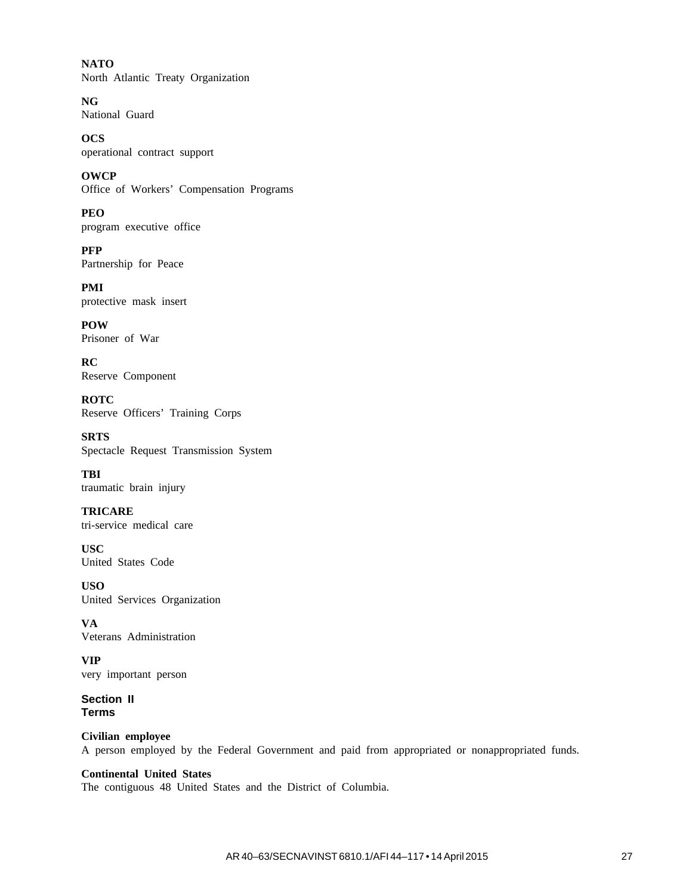**NATO** North Atlantic Treaty Organization

**NG** National Guard

**OCS** operational contract support

**OWCP** Office of Workers' Compensation Programs

**PEO** program executive office

**PFP** Partnership for Peace

**PMI** protective mask insert

**POW** Prisoner of War

**RC** Reserve Component

**ROTC** Reserve Officers' Training Corps

**SRTS** Spectacle Request Transmission System

**TBI** traumatic brain injury

**TRICARE** tri-service medical care

**USC** United States Code

**USO** United Services Organization

**VA** Veterans Administration

**VIP** very important person

**Section II Terms**

**Civilian employee** A person employed by the Federal Government and paid from appropriated or nonappropriated funds.

**Continental United States** The contiguous 48 United States and the District of Columbia.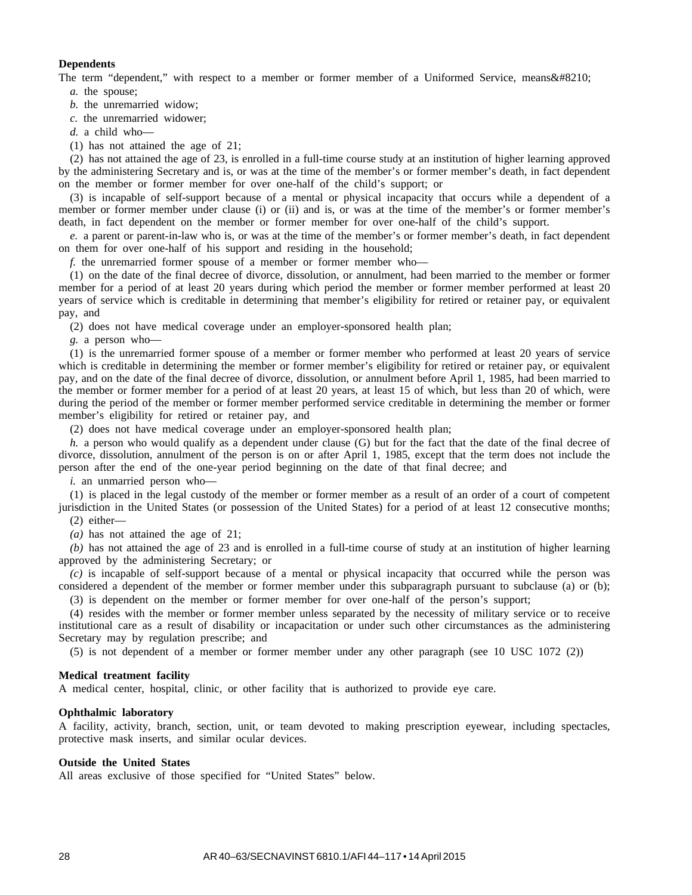#### **Dependents**

The term "dependent," with respect to a member or former member of a Uniformed Service, means  $&\#8210$ ; *a.* the spouse;

*b.* the unremarried widow;

*c.* the unremarried widower;

*d.* a child who—

(1) has not attained the age of 21;

(2) has not attained the age of 23, is enrolled in a full-time course study at an institution of higher learning approved by the administering Secretary and is, or was at the time of the member's or former member's death, in fact dependent on the member or former member for over one-half of the child's support; or

(3) is incapable of self-support because of a mental or physical incapacity that occurs while a dependent of a member or former member under clause (i) or (ii) and is, or was at the time of the member's or former member's death, in fact dependent on the member or former member for over one-half of the child's support.

*e.* a parent or parent-in-law who is, or was at the time of the member's or former member's death, in fact dependent on them for over one-half of his support and residing in the household;

*f.* the unremarried former spouse of a member or former member who—

(1) on the date of the final decree of divorce, dissolution, or annulment, had been married to the member or former member for a period of at least 20 years during which period the member or former member performed at least 20 years of service which is creditable in determining that member's eligibility for retired or retainer pay, or equivalent pay, and

(2) does not have medical coverage under an employer-sponsored health plan;

*g.* a person who—

(1) is the unremarried former spouse of a member or former member who performed at least 20 years of service which is creditable in determining the member or former member's eligibility for retired or retainer pay, or equivalent pay, and on the date of the final decree of divorce, dissolution, or annulment before April 1, 1985, had been married to the member or former member for a period of at least 20 years, at least 15 of which, but less than 20 of which, were during the period of the member or former member performed service creditable in determining the member or former member's eligibility for retired or retainer pay, and

(2) does not have medical coverage under an employer-sponsored health plan;

*h.* a person who would qualify as a dependent under clause (G) but for the fact that the date of the final decree of divorce, dissolution, annulment of the person is on or after April 1, 1985, except that the term does not include the person after the end of the one-year period beginning on the date of that final decree; and

*i.* an unmarried person who—

(1) is placed in the legal custody of the member or former member as a result of an order of a court of competent jurisdiction in the United States (or possession of the United States) for a period of at least 12 consecutive months;

(2) either—

*(a)* has not attained the age of 21;

*(b)* has not attained the age of 23 and is enrolled in a full-time course of study at an institution of higher learning approved by the administering Secretary; or

*(c)* is incapable of self-support because of a mental or physical incapacity that occurred while the person was considered a dependent of the member or former member under this subparagraph pursuant to subclause (a) or (b);

(3) is dependent on the member or former member for over one-half of the person's support;

(4) resides with the member or former member unless separated by the necessity of military service or to receive institutional care as a result of disability or incapacitation or under such other circumstances as the administering Secretary may by regulation prescribe; and

(5) is not dependent of a member or former member under any other paragraph (see 10 USC 1072 (2))

#### **Medical treatment facility**

A medical center, hospital, clinic, or other facility that is authorized to provide eye care.

#### **Ophthalmic laboratory**

A facility, activity, branch, section, unit, or team devoted to making prescription eyewear, including spectacles, protective mask inserts, and similar ocular devices.

#### **Outside the United States**

All areas exclusive of those specified for "United States" below.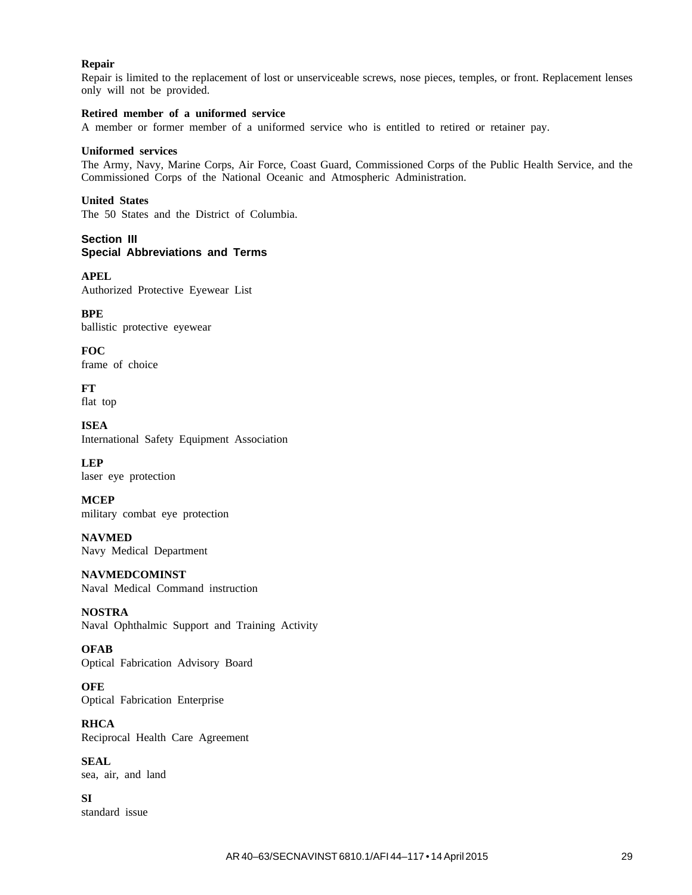#### **Repair**

Repair is limited to the replacement of lost or unserviceable screws, nose pieces, temples, or front. Replacement lenses only will not be provided.

#### **Retired member of a uniformed service**

A member or former member of a uniformed service who is entitled to retired or retainer pay.

#### **Uniformed services**

The Army, Navy, Marine Corps, Air Force, Coast Guard, Commissioned Corps of the Public Health Service, and the Commissioned Corps of the National Oceanic and Atmospheric Administration.

#### **United States**

The 50 States and the District of Columbia.

#### **Section III Special Abbreviations and Terms**

**APEL** Authorized Protective Eyewear List

**BPE** ballistic protective eyewear

**FOC** frame of choice

**FT** flat top

**ISEA** International Safety Equipment Association

**LEP** laser eye protection

**MCEP** military combat eye protection

**NAVMED** Navy Medical Department

**NAVMEDCOMINST** Naval Medical Command instruction

**NOSTRA** Naval Ophthalmic Support and Training Activity

#### **OFAB**

Optical Fabrication Advisory Board

**OFE** Optical Fabrication Enterprise

**RHCA** Reciprocal Health Care Agreement

**SEAL** sea, air, and land

**SI** standard issue